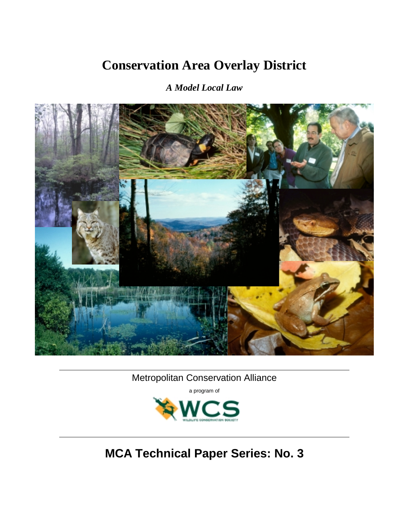# **Conservation Area Overlay District**

# *A Model Local Law*



. Metropolitan Conservation Alliance

a program of



**MCA Technical Paper Series: No. 3**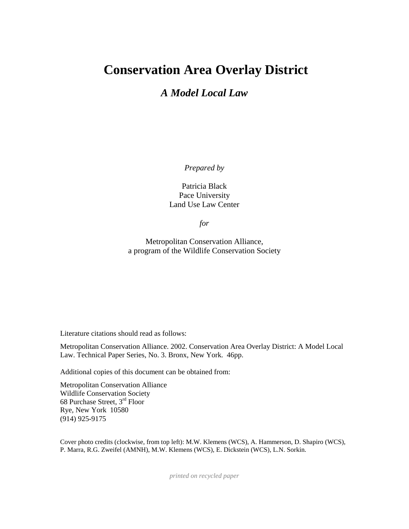# **Conservation Area Overlay District**

# *A Model Local Law*

*Prepared by* 

Patricia Black Pace University Land Use Law Center

*for* 

Metropolitan Conservation Alliance, a program of the Wildlife Conservation Society

Literature citations should read as follows:

Metropolitan Conservation Alliance. 2002. Conservation Area Overlay District: A Model Local Law. Technical Paper Series, No. 3. Bronx, New York. 46pp.

Additional copies of this document can be obtained from:

Metropolitan Conservation Alliance Wildlife Conservation Society 68 Purchase Street, 3rd Floor Rye, New York 10580 (914) 925-9175

Cover photo credits (clockwise, from top left): M.W. Klemens (WCS), A. Hammerson, D. Shapiro (WCS), P. Marra, R.G. Zweifel (AMNH), M.W. Klemens (WCS), E. Dickstein (WCS), L.N. Sorkin.

*printed on recycled paper*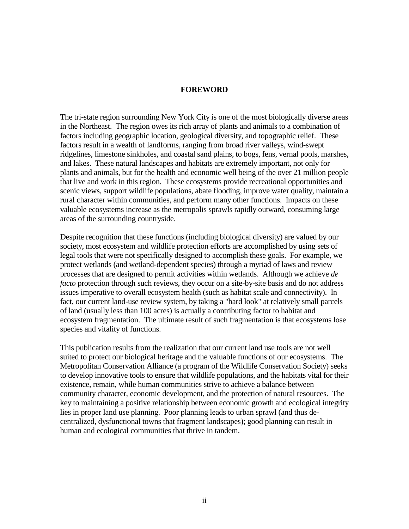#### **FOREWORD**

The tri-state region surrounding New York City is one of the most biologically diverse areas in the Northeast. The region owes its rich array of plants and animals to a combination of factors including geographic location, geological diversity, and topographic relief. These factors result in a wealth of landforms, ranging from broad river valleys, wind-swept ridgelines, limestone sinkholes, and coastal sand plains, to bogs, fens, vernal pools, marshes, and lakes. These natural landscapes and habitats are extremely important, not only for plants and animals, but for the health and economic well being of the over 21 million people that live and work in this region. These ecosystems provide recreational opportunities and scenic views, support wildlife populations, abate flooding, improve water quality, maintain a rural character within communities, and perform many other functions. Impacts on these valuable ecosystems increase as the metropolis sprawls rapidly outward, consuming large areas of the surrounding countryside.

Despite recognition that these functions (including biological diversity) are valued by our society, most ecosystem and wildlife protection efforts are accomplished by using sets of legal tools that were not specifically designed to accomplish these goals. For example, we protect wetlands (and wetland-dependent species) through a myriad of laws and review processes that are designed to permit activities within wetlands. Although we achieve *de facto* protection through such reviews, they occur on a site-by-site basis and do not address issues imperative to overall ecosystem health (such as habitat scale and connectivity). In fact, our current land-use review system, by taking a "hard look" at relatively small parcels of land (usually less than 100 acres) is actually a contributing factor to habitat and ecosystem fragmentation. The ultimate result of such fragmentation is that ecosystems lose species and vitality of functions.

This publication results from the realization that our current land use tools are not well suited to protect our biological heritage and the valuable functions of our ecosystems. The Metropolitan Conservation Alliance (a program of the Wildlife Conservation Society) seeks to develop innovative tools to ensure that wildlife populations, and the habitats vital for their existence, remain, while human communities strive to achieve a balance between community character, economic development, and the protection of natural resources. The key to maintaining a positive relationship between economic growth and ecological integrity lies in proper land use planning. Poor planning leads to urban sprawl (and thus decentralized, dysfunctional towns that fragment landscapes); good planning can result in human and ecological communities that thrive in tandem.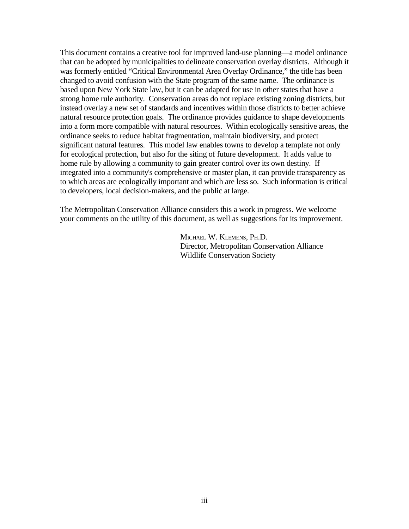This document contains a creative tool for improved land-use planning—a model ordinance that can be adopted by municipalities to delineate conservation overlay districts. Although it was formerly entitled "Critical Environmental Area Overlay Ordinance," the title has been changed to avoid confusion with the State program of the same name. The ordinance is based upon New York State law, but it can be adapted for use in other states that have a strong home rule authority. Conservation areas do not replace existing zoning districts, but instead overlay a new set of standards and incentives within those districts to better achieve natural resource protection goals. The ordinance provides guidance to shape developments into a form more compatible with natural resources. Within ecologically sensitive areas, the ordinance seeks to reduce habitat fragmentation, maintain biodiversity, and protect significant natural features. This model law enables towns to develop a template not only for ecological protection, but also for the siting of future development. It adds value to home rule by allowing a community to gain greater control over its own destiny. If integrated into a community's comprehensive or master plan, it can provide transparency as to which areas are ecologically important and which are less so. Such information is critical to developers, local decision-makers, and the public at large.

The Metropolitan Conservation Alliance considers this a work in progress. We welcome your comments on the utility of this document, as well as suggestions for its improvement.

> MICHAEL W. KLEMENS, PH.D. Director, Metropolitan Conservation Alliance Wildlife Conservation Society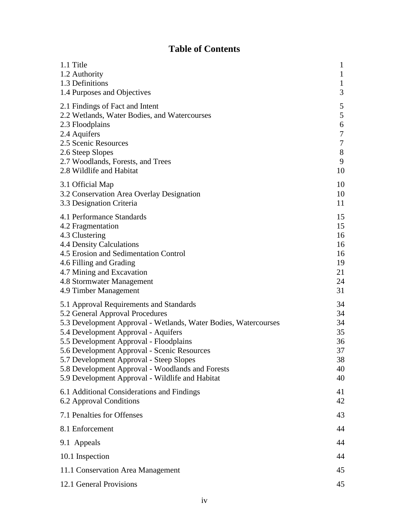# **Table of Contents**

| 1.1 Title                                                       | 1            |
|-----------------------------------------------------------------|--------------|
| 1.2 Authority                                                   | 1            |
| 1.3 Definitions                                                 | $\mathbf{1}$ |
| 1.4 Purposes and Objectives                                     | 3            |
| 2.1 Findings of Fact and Intent                                 | 5            |
| 2.2 Wetlands, Water Bodies, and Watercourses                    | 5            |
| 2.3 Floodplains                                                 | 6            |
| 2.4 Aquifers                                                    | 7            |
| 2.5 Scenic Resources                                            | 7            |
| 2.6 Steep Slopes                                                | $8\,$        |
| 2.7 Woodlands, Forests, and Trees                               | 9            |
| 2.8 Wildlife and Habitat                                        | 10           |
| 3.1 Official Map                                                | 10           |
| 3.2 Conservation Area Overlay Designation                       | 10           |
| 3.3 Designation Criteria                                        | 11           |
| 4.1 Performance Standards                                       | 15           |
| 4.2 Fragmentation                                               | 15           |
| 4.3 Clustering                                                  | 16           |
| 4.4 Density Calculations                                        | 16           |
| 4.5 Erosion and Sedimentation Control                           | 16           |
| 4.6 Filling and Grading                                         | 19           |
| 4.7 Mining and Excavation                                       | 21           |
| 4.8 Stormwater Management                                       | 24           |
| 4.9 Timber Management                                           | 31           |
| 5.1 Approval Requirements and Standards                         | 34           |
| 5.2 General Approval Procedures                                 | 34           |
| 5.3 Development Approval - Wetlands, Water Bodies, Watercourses | 34           |
| 5.4 Development Approval - Aquifers                             | 35           |
| 5.5 Development Approval - Floodplains                          | 36           |
| 5.6 Development Approval - Scenic Resources                     | 37           |
| 5.7 Development Approval - Steep Slopes                         | 38           |
| 5.8 Development Approval - Woodlands and Forests                | 40           |
| 5.9 Development Approval - Wildlife and Habitat                 | 40           |
| 6.1 Additional Considerations and Findings                      | 41           |
| 6.2 Approval Conditions                                         | 42           |
| 7.1 Penalties for Offenses                                      | 43           |
| 8.1 Enforcement                                                 | 44           |
| 9.1 Appeals                                                     | 44           |
| 10.1 Inspection                                                 | 44           |
| 11.1 Conservation Area Management                               | 45           |
| 12.1 General Provisions                                         | 45           |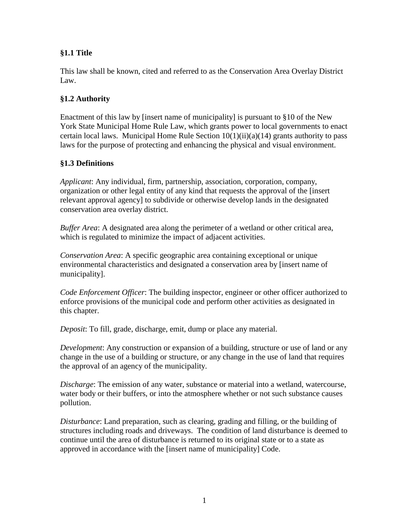### **§1.1 Title**

This law shall be known, cited and referred to as the Conservation Area Overlay District Law.

#### **§1.2 Authority**

Enactment of this law by [insert name of municipality] is pursuant to §10 of the New York State Municipal Home Rule Law, which grants power to local governments to enact certain local laws. Municipal Home Rule Section  $10(1)(ii)(a)(14)$  grants authority to pass laws for the purpose of protecting and enhancing the physical and visual environment.

#### **§1.3 Definitions**

*Applicant*: Any individual, firm, partnership, association, corporation, company, organization or other legal entity of any kind that requests the approval of the [insert relevant approval agency] to subdivide or otherwise develop lands in the designated conservation area overlay district.

*Buffer Area*: A designated area along the perimeter of a wetland or other critical area, which is regulated to minimize the impact of adjacent activities.

*Conservation Area*: A specific geographic area containing exceptional or unique environmental characteristics and designated a conservation area by [insert name of municipality].

*Code Enforcement Officer*: The building inspector, engineer or other officer authorized to enforce provisions of the municipal code and perform other activities as designated in this chapter.

*Deposit*: To fill, grade, discharge, emit, dump or place any material.

*Development*: Any construction or expansion of a building, structure or use of land or any change in the use of a building or structure, or any change in the use of land that requires the approval of an agency of the municipality.

*Discharge*: The emission of any water, substance or material into a wetland, watercourse, water body or their buffers, or into the atmosphere whether or not such substance causes pollution.

*Disturbance*: Land preparation, such as clearing, grading and filling, or the building of structures including roads and driveways. The condition of land disturbance is deemed to continue until the area of disturbance is returned to its original state or to a state as approved in accordance with the [insert name of municipality] Code.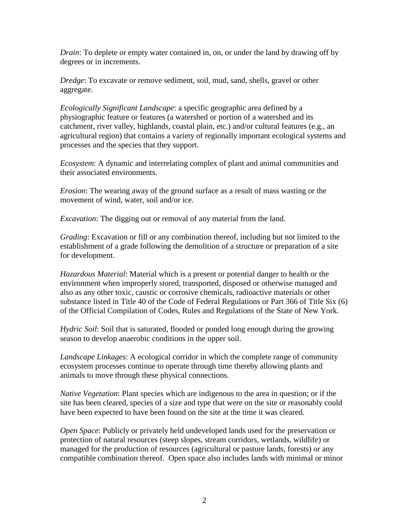*Drain*: To deplete or empty water contained in, on, or under the land by drawing off by degrees or in increments.

*Dredge*: To excavate or remove sediment, soil, mud, sand, shells, gravel or other aggregate.

*Ecologically Significant Landscape*: a specific geographic area defined by a physiographic feature or features (a watershed or portion of a watershed and its catchment, river valley, highlands, coastal plain, etc.) and/or cultural features (e.g., an agricultural region) that contains a variety of regionally important ecological systems and processes and the species that they support.

*Ecosystem*: A dynamic and interrelating complex of plant and animal communities and their associated environments.

*Erosion*: The wearing away of the ground surface as a result of mass wasting or the movement of wind, water, soil and/or ice.

*Excavation*: The digging out or removal of any material from the land.

*Grading*: Excavation or fill or any combination thereof, including but not limited to the establishment of a grade following the demolition of a structure or preparation of a site for development.

*Hazardous Material*: Material which is a present or potential danger to health or the environment when improperly stored, transported, disposed or otherwise managed and also as any other toxic, caustic or corrosive chemicals, radioactive materials or other substance listed in Title 40 of the Code of Federal Regulations or Part 366 of Title Six (6) of the Official Compilation of Codes, Rules and Regulations of the State of New York.

*Hydric Soil*: Soil that is saturated, flooded or ponded long enough during the growing season to develop anaerobic conditions in the upper soil.

*Landscape Linkages*: A ecological corridor in which the complete range of community ecosystem processes continue to operate through time thereby allowing plants and animals to move through these physical connections.

*Native Vegetation*: Plant species which are indigenous to the area in question; or if the site has been cleared, species of a size and type that were on the site or reasonably could have been expected to have been found on the site at the time it was cleared.

*Open Space*: Publicly or privately held undeveloped lands used for the preservation or protection of natural resources (steep slopes, stream corridors, wetlands, wildlife) or managed for the production of resources (agricultural or pasture lands, forests) or any compatible combination thereof. Open space also includes lands with minimal or minor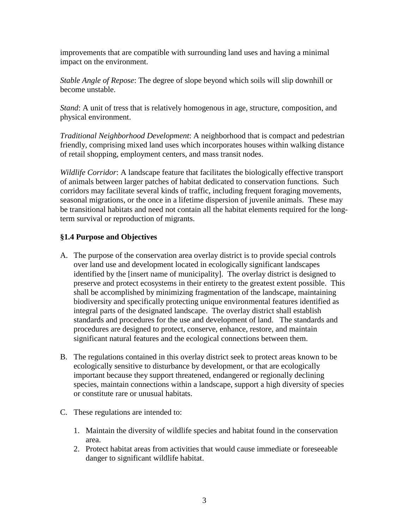improvements that are compatible with surrounding land uses and having a minimal impact on the environment.

*Stable Angle of Repose*: The degree of slope beyond which soils will slip downhill or become unstable.

*Stand*: A unit of tress that is relatively homogenous in age, structure, composition, and physical environment.

*Traditional Neighborhood Development*: A neighborhood that is compact and pedestrian friendly, comprising mixed land uses which incorporates houses within walking distance of retail shopping, employment centers, and mass transit nodes.

*Wildlife Corridor*: A landscape feature that facilitates the biologically effective transport of animals between larger patches of habitat dedicated to conservation functions. Such corridors may facilitate several kinds of traffic, including frequent foraging movements, seasonal migrations, or the once in a lifetime dispersion of juvenile animals. These may be transitional habitats and need not contain all the habitat elements required for the longterm survival or reproduction of migrants.

#### **§1.4 Purpose and Objectives**

- A. The purpose of the conservation area overlay district is to provide special controls over land use and development located in ecologically significant landscapes identified by the [insert name of municipality]. The overlay district is designed to preserve and protect ecosystems in their entirety to the greatest extent possible. This shall be accomplished by minimizing fragmentation of the landscape, maintaining biodiversity and specifically protecting unique environmental features identified as integral parts of the designated landscape. The overlay district shall establish standards and procedures for the use and development of land. The standards and procedures are designed to protect, conserve, enhance, restore, and maintain significant natural features and the ecological connections between them.
- B. The regulations contained in this overlay district seek to protect areas known to be ecologically sensitive to disturbance by development, or that are ecologically important because they support threatened, endangered or regionally declining species, maintain connections within a landscape, support a high diversity of species or constitute rare or unusual habitats.
- C. These regulations are intended to:
	- 1. Maintain the diversity of wildlife species and habitat found in the conservation area.
	- 2. Protect habitat areas from activities that would cause immediate or foreseeable danger to significant wildlife habitat.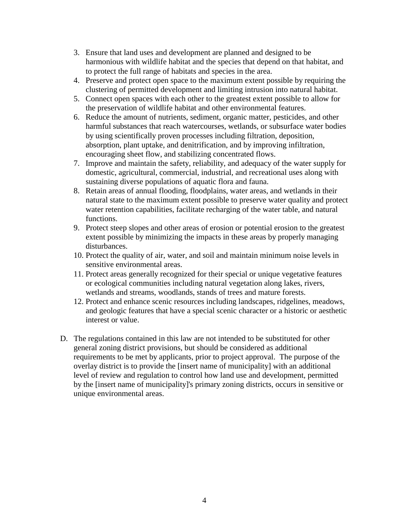- 3. Ensure that land uses and development are planned and designed to be harmonious with wildlife habitat and the species that depend on that habitat, and to protect the full range of habitats and species in the area.
- 4. Preserve and protect open space to the maximum extent possible by requiring the clustering of permitted development and limiting intrusion into natural habitat.
- 5. Connect open spaces with each other to the greatest extent possible to allow for the preservation of wildlife habitat and other environmental features.
- 6. Reduce the amount of nutrients, sediment, organic matter, pesticides, and other harmful substances that reach watercourses, wetlands, or subsurface water bodies by using scientifically proven processes including filtration, deposition, absorption, plant uptake, and denitrification, and by improving infiltration, encouraging sheet flow, and stabilizing concentrated flows.
- 7. Improve and maintain the safety, reliability, and adequacy of the water supply for domestic, agricultural, commercial, industrial, and recreational uses along with sustaining diverse populations of aquatic flora and fauna.
- 8. Retain areas of annual flooding, floodplains, water areas, and wetlands in their natural state to the maximum extent possible to preserve water quality and protect water retention capabilities, facilitate recharging of the water table, and natural functions.
- 9. Protect steep slopes and other areas of erosion or potential erosion to the greatest extent possible by minimizing the impacts in these areas by properly managing disturbances.
- 10. Protect the quality of air, water, and soil and maintain minimum noise levels in sensitive environmental areas.
- 11. Protect areas generally recognized for their special or unique vegetative features or ecological communities including natural vegetation along lakes, rivers, wetlands and streams, woodlands, stands of trees and mature forests.
- 12. Protect and enhance scenic resources including landscapes, ridgelines, meadows, and geologic features that have a special scenic character or a historic or aesthetic interest or value.
- D. The regulations contained in this law are not intended to be substituted for other general zoning district provisions, but should be considered as additional requirements to be met by applicants, prior to project approval. The purpose of the overlay district is to provide the [insert name of municipality] with an additional level of review and regulation to control how land use and development, permitted by the [insert name of municipality]'s primary zoning districts, occurs in sensitive or unique environmental areas.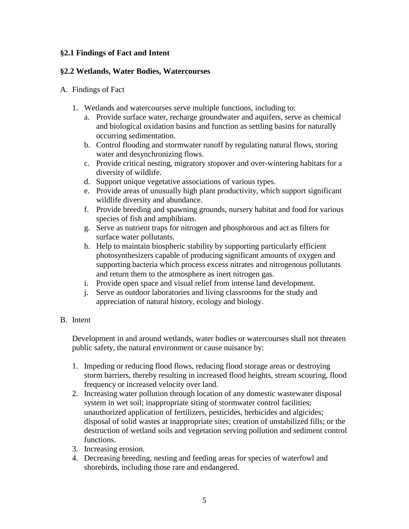#### **§2.1 Findings of Fact and Intent**

#### **§2.2 Wetlands, Water Bodies, Watercourses**

#### A. Findings of Fact

- 1. Wetlands and watercourses serve multiple functions, including to:
	- a. Provide surface water, recharge groundwater and aquifers, serve as chemical and biological oxidation basins and function as settling basins for naturally occurring sedimentation.
	- b. Control flooding and stormwater runoff by regulating natural flows, storing water and desynchronizing flows.
	- c. Provide critical nesting, migratory stopover and over-wintering habitats for a diversity of wildlife.
	- d. Support unique vegetative associations of various types.
	- e. Provide areas of unusually high plant productivity, which support significant wildlife diversity and abundance.
	- f. Provide breeding and spawning grounds, nursery habitat and food for various species of fish and amphibians.
	- g. Serve as nutrient traps for nitrogen and phosphorous and act as filters for surface water pollutants.
	- h. Help to maintain biospheric stability by supporting particularly efficient photosynthesizers capable of producing significant amounts of oxygen and supporting bacteria which process excess nitrates and nitrogenous pollutants and return them to the atmosphere as inert nitrogen gas.
	- i. Provide open space and visual relief from intense land development.
	- j. Serve as outdoor laboratories and living classrooms for the study and appreciation of natural history, ecology and biology.

#### B. Intent

Development in and around wetlands, water bodies or watercourses shall not threaten public safety, the natural environment or cause nuisance by:

- 1. Impeding or reducing flood flows, reducing flood storage areas or destroying storm barriers, thereby resulting in increased flood heights, stream scouring, flood frequency or increased velocity over land.
- 2. Increasing water pollution through location of any domestic wastewater disposal system in wet soil; inappropriate siting of stormwater control facilities; unauthorized application of fertilizers, pesticides, herbicides and algicides; disposal of solid wastes at inappropriate sites; creation of unstabilized fills; or the destruction of wetland soils and vegetation serving pollution and sediment control functions.
- 3. Increasing erosion.
- 4. Decreasing breeding, nesting and feeding areas for species of waterfowl and shorebirds, including those rare and endangered.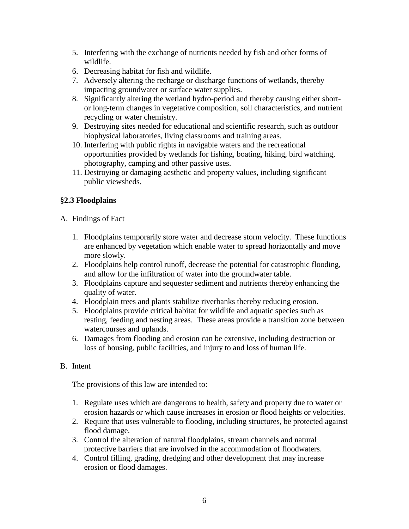- 5. Interfering with the exchange of nutrients needed by fish and other forms of wildlife.
- 6. Decreasing habitat for fish and wildlife.
- 7. Adversely altering the recharge or discharge functions of wetlands, thereby impacting groundwater or surface water supplies.
- 8. Significantly altering the wetland hydro-period and thereby causing either shortor long-term changes in vegetative composition, soil characteristics, and nutrient recycling or water chemistry.
- 9. Destroying sites needed for educational and scientific research, such as outdoor biophysical laboratories, living classrooms and training areas.
- 10. Interfering with public rights in navigable waters and the recreational opportunities provided by wetlands for fishing, boating, hiking, bird watching, photography, camping and other passive uses.
- 11. Destroying or damaging aesthetic and property values, including significant public viewsheds.

# **§2.3 Floodplains**

- A. Findings of Fact
	- 1. Floodplains temporarily store water and decrease storm velocity. These functions are enhanced by vegetation which enable water to spread horizontally and move more slowly.
	- 2. Floodplains help control runoff, decrease the potential for catastrophic flooding, and allow for the infiltration of water into the groundwater table.
	- 3. Floodplains capture and sequester sediment and nutrients thereby enhancing the quality of water.
	- 4. Floodplain trees and plants stabilize riverbanks thereby reducing erosion.
	- 5. Floodplains provide critical habitat for wildlife and aquatic species such as resting, feeding and nesting areas. These areas provide a transition zone between watercourses and uplands.
	- 6. Damages from flooding and erosion can be extensive, including destruction or loss of housing, public facilities, and injury to and loss of human life.

# B. Intent

The provisions of this law are intended to:

- 1. Regulate uses which are dangerous to health, safety and property due to water or erosion hazards or which cause increases in erosion or flood heights or velocities.
- 2. Require that uses vulnerable to flooding, including structures, be protected against flood damage.
- 3. Control the alteration of natural floodplains, stream channels and natural protective barriers that are involved in the accommodation of floodwaters.
- 4. Control filling, grading, dredging and other development that may increase erosion or flood damages.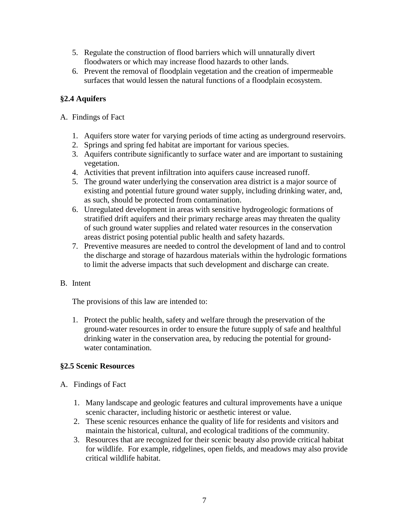- 5. Regulate the construction of flood barriers which will unnaturally divert floodwaters or which may increase flood hazards to other lands.
- 6. Prevent the removal of floodplain vegetation and the creation of impermeable surfaces that would lessen the natural functions of a floodplain ecosystem.

# **§2.4 Aquifers**

#### A. Findings of Fact

- 1. Aquifers store water for varying periods of time acting as underground reservoirs.
- 2. Springs and spring fed habitat are important for various species.
- 3. Aquifers contribute significantly to surface water and are important to sustaining vegetation.
- 4. Activities that prevent infiltration into aquifers cause increased runoff.
- 5. The ground water underlying the conservation area district is a major source of existing and potential future ground water supply, including drinking water, and, as such, should be protected from contamination.
- 6. Unregulated development in areas with sensitive hydrogeologic formations of stratified drift aquifers and their primary recharge areas may threaten the quality of such ground water supplies and related water resources in the conservation areas district posing potential public health and safety hazards.
- 7. Preventive measures are needed to control the development of land and to control the discharge and storage of hazardous materials within the hydrologic formations to limit the adverse impacts that such development and discharge can create.

# B. Intent

The provisions of this law are intended to:

1. Protect the public health, safety and welfare through the preservation of the ground-water resources in order to ensure the future supply of safe and healthful drinking water in the conservation area, by reducing the potential for groundwater contamination.

# **§2.5 Scenic Resources**

#### A. Findings of Fact

- 1. Many landscape and geologic features and cultural improvements have a unique scenic character, including historic or aesthetic interest or value.
- 2. These scenic resources enhance the quality of life for residents and visitors and maintain the historical, cultural, and ecological traditions of the community.
- 3. Resources that are recognized for their scenic beauty also provide critical habitat for wildlife. For example, ridgelines, open fields, and meadows may also provide critical wildlife habitat.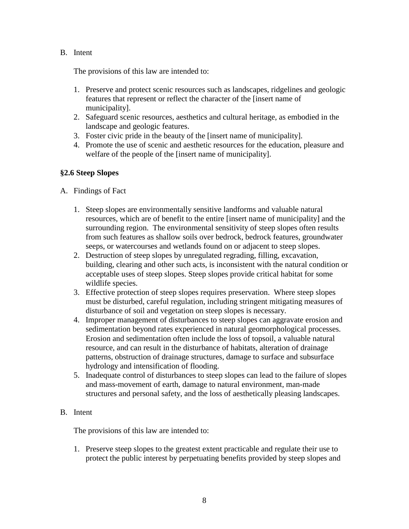#### B. Intent

The provisions of this law are intended to:

- 1. Preserve and protect scenic resources such as landscapes, ridgelines and geologic features that represent or reflect the character of the [insert name of municipality].
- 2. Safeguard scenic resources, aesthetics and cultural heritage, as embodied in the landscape and geologic features.
- 3. Foster civic pride in the beauty of the [insert name of municipality].
- 4. Promote the use of scenic and aesthetic resources for the education, pleasure and welfare of the people of the [insert name of municipality].

#### **§2.6 Steep Slopes**

#### A. Findings of Fact

- 1. Steep slopes are environmentally sensitive landforms and valuable natural resources, which are of benefit to the entire [insert name of municipality] and the surrounding region. The environmental sensitivity of steep slopes often results from such features as shallow soils over bedrock, bedrock features, groundwater seeps, or watercourses and wetlands found on or adjacent to steep slopes.
- 2. Destruction of steep slopes by unregulated regrading, filling, excavation, building, clearing and other such acts, is inconsistent with the natural condition or acceptable uses of steep slopes. Steep slopes provide critical habitat for some wildlife species.
- 3. Effective protection of steep slopes requires preservation. Where steep slopes must be disturbed, careful regulation, including stringent mitigating measures of disturbance of soil and vegetation on steep slopes is necessary.
- 4. Improper management of disturbances to steep slopes can aggravate erosion and sedimentation beyond rates experienced in natural geomorphological processes. Erosion and sedimentation often include the loss of topsoil, a valuable natural resource, and can result in the disturbance of habitats, alteration of drainage patterns, obstruction of drainage structures, damage to surface and subsurface hydrology and intensification of flooding.
- 5. Inadequate control of disturbances to steep slopes can lead to the failure of slopes and mass-movement of earth, damage to natural environment, man-made structures and personal safety, and the loss of aesthetically pleasing landscapes.

#### B. Intent

The provisions of this law are intended to:

1. Preserve steep slopes to the greatest extent practicable and regulate their use to protect the public interest by perpetuating benefits provided by steep slopes and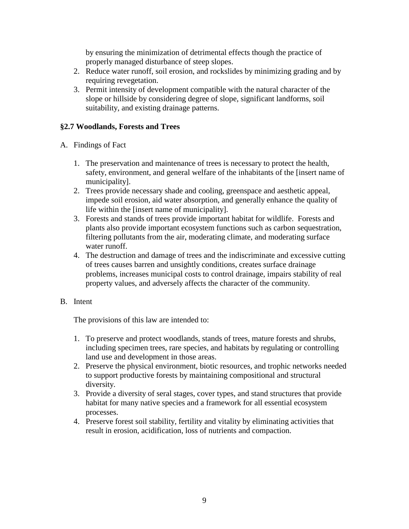by ensuring the minimization of detrimental effects though the practice of properly managed disturbance of steep slopes.

- 2. Reduce water runoff, soil erosion, and rockslides by minimizing grading and by requiring revegetation.
- 3. Permit intensity of development compatible with the natural character of the slope or hillside by considering degree of slope, significant landforms, soil suitability, and existing drainage patterns.

#### **§2.7 Woodlands, Forests and Trees**

- A. Findings of Fact
	- 1. The preservation and maintenance of trees is necessary to protect the health, safety, environment, and general welfare of the inhabitants of the [insert name of municipality].
	- 2. Trees provide necessary shade and cooling, greenspace and aesthetic appeal, impede soil erosion, aid water absorption, and generally enhance the quality of life within the [insert name of municipality].
	- 3. Forests and stands of trees provide important habitat for wildlife. Forests and plants also provide important ecosystem functions such as carbon sequestration, filtering pollutants from the air, moderating climate, and moderating surface water runoff.
	- 4. The destruction and damage of trees and the indiscriminate and excessive cutting of trees causes barren and unsightly conditions, creates surface drainage problems, increases municipal costs to control drainage, impairs stability of real property values, and adversely affects the character of the community.

#### B. Intent

The provisions of this law are intended to:

- 1. To preserve and protect woodlands, stands of trees, mature forests and shrubs, including specimen trees, rare species, and habitats by regulating or controlling land use and development in those areas.
- 2. Preserve the physical environment, biotic resources, and trophic networks needed to support productive forests by maintaining compositional and structural diversity.
- 3. Provide a diversity of seral stages, cover types, and stand structures that provide habitat for many native species and a framework for all essential ecosystem processes.
- 4. Preserve forest soil stability, fertility and vitality by eliminating activities that result in erosion, acidification, loss of nutrients and compaction.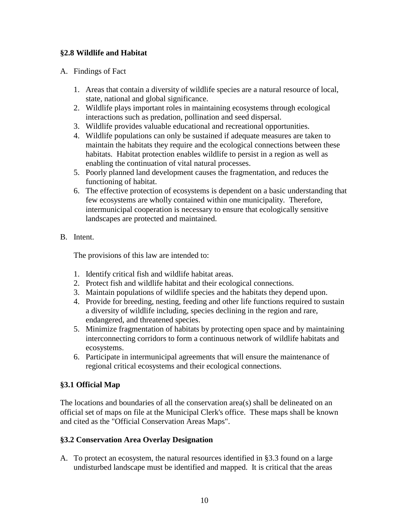#### **§2.8 Wildlife and Habitat**

#### A. Findings of Fact

- 1. Areas that contain a diversity of wildlife species are a natural resource of local, state, national and global significance.
- 2. Wildlife plays important roles in maintaining ecosystems through ecological interactions such as predation, pollination and seed dispersal.
- 3. Wildlife provides valuable educational and recreational opportunities.
- 4. Wildlife populations can only be sustained if adequate measures are taken to maintain the habitats they require and the ecological connections between these habitats. Habitat protection enables wildlife to persist in a region as well as enabling the continuation of vital natural processes.
- 5. Poorly planned land development causes the fragmentation, and reduces the functioning of habitat.
- 6. The effective protection of ecosystems is dependent on a basic understanding that few ecosystems are wholly contained within one municipality. Therefore, intermunicipal cooperation is necessary to ensure that ecologically sensitive landscapes are protected and maintained.
- B. Intent.

The provisions of this law are intended to:

- 1. Identify critical fish and wildlife habitat areas.
- 2. Protect fish and wildlife habitat and their ecological connections.
- 3. Maintain populations of wildlife species and the habitats they depend upon.
- 4. Provide for breeding, nesting, feeding and other life functions required to sustain a diversity of wildlife including, species declining in the region and rare, endangered, and threatened species.
- 5. Minimize fragmentation of habitats by protecting open space and by maintaining interconnecting corridors to form a continuous network of wildlife habitats and ecosystems.
- 6. Participate in intermunicipal agreements that will ensure the maintenance of regional critical ecosystems and their ecological connections.

# **§3.1 Official Map**

The locations and boundaries of all the conservation area(s) shall be delineated on an official set of maps on file at the Municipal Clerk's office. These maps shall be known and cited as the "Official Conservation Areas Maps".

# **§3.2 Conservation Area Overlay Designation**

A. To protect an ecosystem, the natural resources identified in §3.3 found on a large undisturbed landscape must be identified and mapped. It is critical that the areas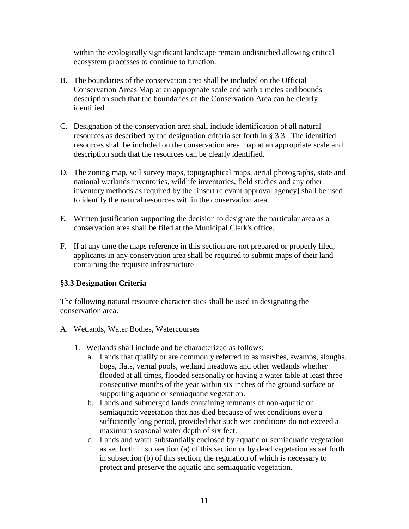within the ecologically significant landscape remain undisturbed allowing critical ecosystem processes to continue to function.

- B. The boundaries of the conservation area shall be included on the Official Conservation Areas Map at an appropriate scale and with a metes and bounds description such that the boundaries of the Conservation Area can be clearly identified.
- C. Designation of the conservation area shall include identification of all natural resources as described by the designation criteria set forth in § 3.3. The identified resources shall be included on the conservation area map at an appropriate scale and description such that the resources can be clearly identified.
- D. The zoning map, soil survey maps, topographical maps, aerial photographs, state and national wetlands inventories, wildlife inventories, field studies and any other inventory methods as required by the [insert relevant approval agency] shall be used to identify the natural resources within the conservation area.
- E. Written justification supporting the decision to designate the particular area as a conservation area shall be filed at the Municipal Clerk's office.
- F. If at any time the maps reference in this section are not prepared or properly filed, applicants in any conservation area shall be required to submit maps of their land containing the requisite infrastructure

#### **§3.3 Designation Criteria**

The following natural resource characteristics shall be used in designating the conservation area.

- A. Wetlands, Water Bodies, Watercourses
	- 1. Wetlands shall include and be characterized as follows:
		- a. Lands that qualify or are commonly referred to as marshes, swamps, sloughs, bogs, flats, vernal pools, wetland meadows and other wetlands whether flooded at all times, flooded seasonally or having a water table at least three consecutive months of the year within six inches of the ground surface or supporting aquatic or semiaquatic vegetation.
		- b. Lands and submerged lands containing remnants of non-aquatic or semiaquatic vegetation that has died because of wet conditions over a sufficiently long period, provided that such wet conditions do not exceed a maximum seasonal water depth of six feet.
		- c. Lands and water substantially enclosed by aquatic or semiaquatic vegetation as set forth in subsection (a) of this section or by dead vegetation as set forth in subsection (b) of this section, the regulation of which is necessary to protect and preserve the aquatic and semiaquatic vegetation.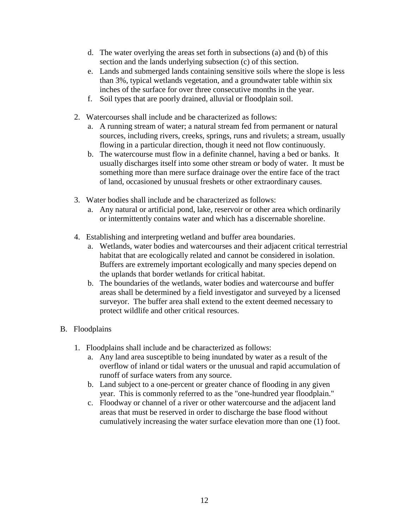- d. The water overlying the areas set forth in subsections (a) and (b) of this section and the lands underlying subsection (c) of this section.
- e. Lands and submerged lands containing sensitive soils where the slope is less than 3%, typical wetlands vegetation, and a groundwater table within six inches of the surface for over three consecutive months in the year.
- f. Soil types that are poorly drained, alluvial or floodplain soil.
- 2. Watercourses shall include and be characterized as follows:
	- a. A running stream of water; a natural stream fed from permanent or natural sources, including rivers, creeks, springs, runs and rivulets; a stream, usually flowing in a particular direction, though it need not flow continuously.
	- b. The watercourse must flow in a definite channel, having a bed or banks. It usually discharges itself into some other stream or body of water. It must be something more than mere surface drainage over the entire face of the tract of land, occasioned by unusual freshets or other extraordinary causes.
- 3. Water bodies shall include and be characterized as follows:
	- a. Any natural or artificial pond, lake, reservoir or other area which ordinarily or intermittently contains water and which has a discernable shoreline.
- 4. Establishing and interpreting wetland and buffer area boundaries.
	- a. Wetlands, water bodies and watercourses and their adjacent critical terrestrial habitat that are ecologically related and cannot be considered in isolation. Buffers are extremely important ecologically and many species depend on the uplands that border wetlands for critical habitat.
	- b. The boundaries of the wetlands, water bodies and watercourse and buffer areas shall be determined by a field investigator and surveyed by a licensed surveyor. The buffer area shall extend to the extent deemed necessary to protect wildlife and other critical resources.

# B. Floodplains

- 1. Floodplains shall include and be characterized as follows:
	- a. Any land area susceptible to being inundated by water as a result of the overflow of inland or tidal waters or the unusual and rapid accumulation of runoff of surface waters from any source.
	- b. Land subject to a one-percent or greater chance of flooding in any given year. This is commonly referred to as the "one-hundred year floodplain."
	- c. Floodway or channel of a river or other watercourse and the adjacent land areas that must be reserved in order to discharge the base flood without cumulatively increasing the water surface elevation more than one (1) foot.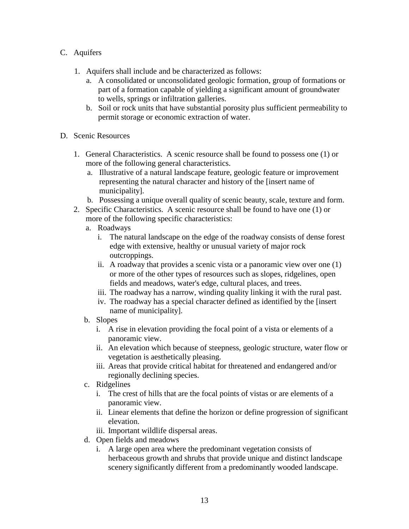- C. Aquifers
	- 1. Aquifers shall include and be characterized as follows:
		- a. A consolidated or unconsolidated geologic formation, group of formations or part of a formation capable of yielding a significant amount of groundwater to wells, springs or infiltration galleries.
		- b. Soil or rock units that have substantial porosity plus sufficient permeability to permit storage or economic extraction of water.
- D. Scenic Resources
	- 1. General Characteristics. A scenic resource shall be found to possess one (1) or more of the following general characteristics.
		- a. Illustrative of a natural landscape feature, geologic feature or improvement representing the natural character and history of the [insert name of municipality].
		- b. Possessing a unique overall quality of scenic beauty, scale, texture and form.
	- 2. Specific Characteristics. A scenic resource shall be found to have one (1) or more of the following specific characteristics:
		- a. Roadways
			- i. The natural landscape on the edge of the roadway consists of dense forest edge with extensive, healthy or unusual variety of major rock outcroppings.
			- ii. A roadway that provides a scenic vista or a panoramic view over one (1) or more of the other types of resources such as slopes, ridgelines, open fields and meadows, water's edge, cultural places, and trees.
			- iii. The roadway has a narrow, winding quality linking it with the rural past.
			- iv. The roadway has a special character defined as identified by the [insert name of municipality].
		- b. Slopes
			- i. A rise in elevation providing the focal point of a vista or elements of a panoramic view.
			- ii. An elevation which because of steepness, geologic structure, water flow or vegetation is aesthetically pleasing.
			- iii. Areas that provide critical habitat for threatened and endangered and/or regionally declining species.
		- c. Ridgelines
			- i. The crest of hills that are the focal points of vistas or are elements of a panoramic view.
			- ii. Linear elements that define the horizon or define progression of significant elevation.

iii. Important wildlife dispersal areas.

- d. Open fields and meadows
	- i. A large open area where the predominant vegetation consists of herbaceous growth and shrubs that provide unique and distinct landscape scenery significantly different from a predominantly wooded landscape.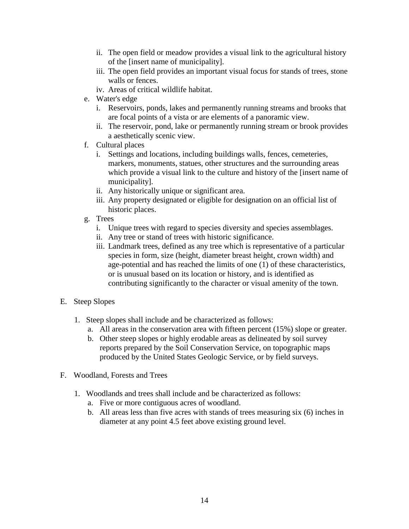- ii. The open field or meadow provides a visual link to the agricultural history of the [insert name of municipality].
- iii. The open field provides an important visual focus for stands of trees, stone walls or fences.
- iv. Areas of critical wildlife habitat.
- e. Water's edge
	- i. Reservoirs, ponds, lakes and permanently running streams and brooks that are focal points of a vista or are elements of a panoramic view.
	- ii. The reservoir, pond, lake or permanently running stream or brook provides a aesthetically scenic view.
- f. Cultural places
	- i. Settings and locations, including buildings walls, fences, cemeteries, markers, monuments, statues, other structures and the surrounding areas which provide a visual link to the culture and history of the [insert name of municipality].
	- ii. Any historically unique or significant area.
	- iii. Any property designated or eligible for designation on an official list of historic places.
- g. Trees
	- i. Unique trees with regard to species diversity and species assemblages.
	- ii. Any tree or stand of trees with historic significance.
	- iii. Landmark trees, defined as any tree which is representative of a particular species in form, size (height, diameter breast height, crown width) and age-potential and has reached the limits of one (1) of these characteristics, or is unusual based on its location or history, and is identified as contributing significantly to the character or visual amenity of the town.
- E. Steep Slopes
	- 1. Steep slopes shall include and be characterized as follows:
		- a. All areas in the conservation area with fifteen percent (15%) slope or greater.
		- b. Other steep slopes or highly erodable areas as delineated by soil survey reports prepared by the Soil Conservation Service, on topographic maps produced by the United States Geologic Service, or by field surveys.
- F. Woodland, Forests and Trees
	- 1. Woodlands and trees shall include and be characterized as follows:
		- a. Five or more contiguous acres of woodland.
		- b. All areas less than five acres with stands of trees measuring six (6) inches in diameter at any point 4.5 feet above existing ground level.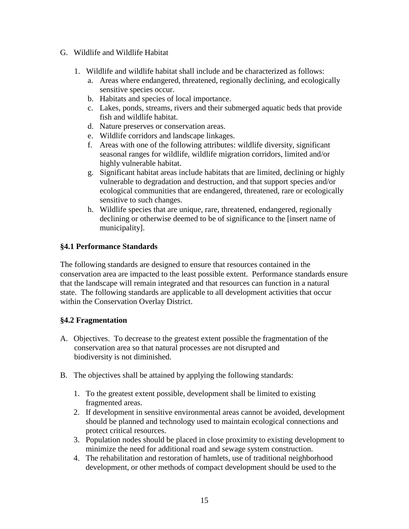- G. Wildlife and Wildlife Habitat
	- 1. Wildlife and wildlife habitat shall include and be characterized as follows:
		- a. Areas where endangered, threatened, regionally declining, and ecologically sensitive species occur.
		- b. Habitats and species of local importance.
		- c. Lakes, ponds, streams, rivers and their submerged aquatic beds that provide fish and wildlife habitat.
		- d. Nature preserves or conservation areas.
		- e. Wildlife corridors and landscape linkages.
		- f. Areas with one of the following attributes: wildlife diversity, significant seasonal ranges for wildlife, wildlife migration corridors, limited and/or highly vulnerable habitat.
		- g. Significant habitat areas include habitats that are limited, declining or highly vulnerable to degradation and destruction, and that support species and/or ecological communities that are endangered, threatened, rare or ecologically sensitive to such changes.
		- h. Wildlife species that are unique, rare, threatened, endangered, regionally declining or otherwise deemed to be of significance to the [insert name of municipality].

#### **§4.1 Performance Standards**

The following standards are designed to ensure that resources contained in the conservation area are impacted to the least possible extent. Performance standards ensure that the landscape will remain integrated and that resources can function in a natural state. The following standards are applicable to all development activities that occur within the Conservation Overlay District.

#### **§4.2 Fragmentation**

- A. Objectives. To decrease to the greatest extent possible the fragmentation of the conservation area so that natural processes are not disrupted and biodiversity is not diminished.
- B. The objectives shall be attained by applying the following standards:
	- 1. To the greatest extent possible, development shall be limited to existing fragmented areas.
	- 2. If development in sensitive environmental areas cannot be avoided, development should be planned and technology used to maintain ecological connections and protect critical resources.
	- 3. Population nodes should be placed in close proximity to existing development to minimize the need for additional road and sewage system construction.
	- 4. The rehabilitation and restoration of hamlets, use of traditional neighborhood development, or other methods of compact development should be used to the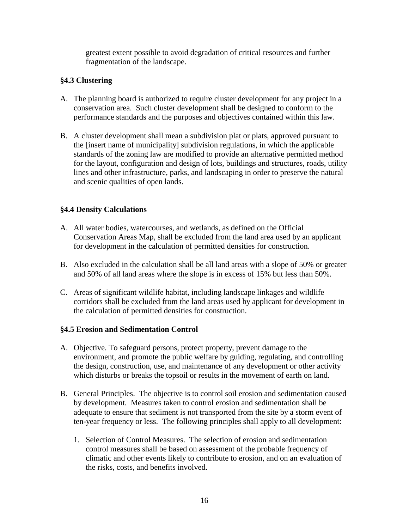greatest extent possible to avoid degradation of critical resources and further fragmentation of the landscape.

#### **§4.3 Clustering**

- A. The planning board is authorized to require cluster development for any project in a conservation area. Such cluster development shall be designed to conform to the performance standards and the purposes and objectives contained within this law.
- B. A cluster development shall mean a subdivision plat or plats, approved pursuant to the [insert name of municipality] subdivision regulations, in which the applicable standards of the zoning law are modified to provide an alternative permitted method for the layout, configuration and design of lots, buildings and structures, roads, utility lines and other infrastructure, parks, and landscaping in order to preserve the natural and scenic qualities of open lands.

#### **§4.4 Density Calculations**

- A. All water bodies, watercourses, and wetlands, as defined on the Official Conservation Areas Map, shall be excluded from the land area used by an applicant for development in the calculation of permitted densities for construction.
- B. Also excluded in the calculation shall be all land areas with a slope of 50% or greater and 50% of all land areas where the slope is in excess of 15% but less than 50%.
- C. Areas of significant wildlife habitat, including landscape linkages and wildlife corridors shall be excluded from the land areas used by applicant for development in the calculation of permitted densities for construction.

#### **§4.5 Erosion and Sedimentation Control**

- A. Objective. To safeguard persons, protect property, prevent damage to the environment, and promote the public welfare by guiding, regulating, and controlling the design, construction, use, and maintenance of any development or other activity which disturbs or breaks the topsoil or results in the movement of earth on land.
- B. General Principles. The objective is to control soil erosion and sedimentation caused by development. Measures taken to control erosion and sedimentation shall be adequate to ensure that sediment is not transported from the site by a storm event of ten-year frequency or less. The following principles shall apply to all development:
	- 1. Selection of Control Measures. The selection of erosion and sedimentation control measures shall be based on assessment of the probable frequency of climatic and other events likely to contribute to erosion, and on an evaluation of the risks, costs, and benefits involved.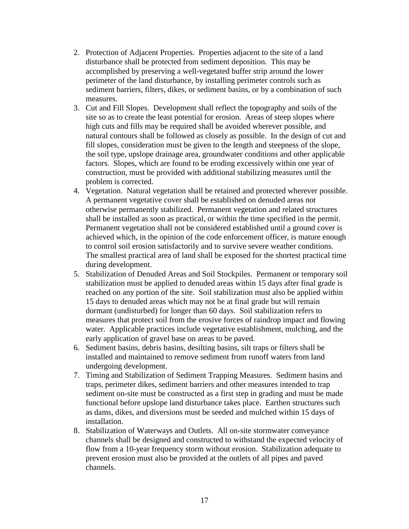- 2. Protection of Adjacent Properties. Properties adjacent to the site of a land disturbance shall be protected from sediment deposition. This may be accomplished by preserving a well-vegetated buffer strip around the lower perimeter of the land disturbance, by installing perimeter controls such as sediment barriers, filters, dikes, or sediment basins, or by a combination of such measures.
- 3. Cut and Fill Slopes. Development shall reflect the topography and soils of the site so as to create the least potential for erosion. Areas of steep slopes where high cuts and fills may be required shall be avoided wherever possible, and natural contours shall be followed as closely as possible. In the design of cut and fill slopes, consideration must be given to the length and steepness of the slope, the soil type, upslope drainage area, groundwater conditions and other applicable factors. Slopes, which are found to be eroding excessively within one year of construction, must be provided with additional stabilizing measures until the problem is corrected.
- 4. Vegetation. Natural vegetation shall be retained and protected wherever possible. A permanent vegetative cover shall be established on denuded areas not otherwise permanently stabilized. Permanent vegetation and related structures shall be installed as soon as practical, or within the time specified in the permit. Permanent vegetation shall not be considered established until a ground cover is achieved which, in the opinion of the code enforcement officer, is mature enough to control soil erosion satisfactorily and to survive severe weather conditions. The smallest practical area of land shall be exposed for the shortest practical time during development.
- 5. Stabilization of Denuded Areas and Soil Stockpiles. Permanent or temporary soil stabilization must be applied to denuded areas within 15 days after final grade is reached on any portion of the site. Soil stabilization must also be applied within 15 days to denuded areas which may not be at final grade but will remain dormant (undisturbed) for longer than 60 days. Soil stabilization refers to measures that protect soil from the erosive forces of raindrop impact and flowing water. Applicable practices include vegetative establishment, mulching, and the early application of gravel base on areas to be paved.
- 6. Sediment basins, debris basins, desilting basins, silt traps or filters shall be installed and maintained to remove sediment from runoff waters from land undergoing development.
- 7. Timing and Stabilization of Sediment Trapping Measures. Sediment basins and traps, perimeter dikes, sediment barriers and other measures intended to trap sediment on-site must be constructed as a first step in grading and must be made functional before upslope land disturbance takes place. Earthen structures such as dams, dikes, and diversions must be seeded and mulched within 15 days of installation.
- 8. Stabilization of Waterways and Outlets. All on-site stormwater conveyance channels shall be designed and constructed to withstand the expected velocity of flow from a 10-year frequency storm without erosion. Stabilization adequate to prevent erosion must also be provided at the outlets of all pipes and paved channels.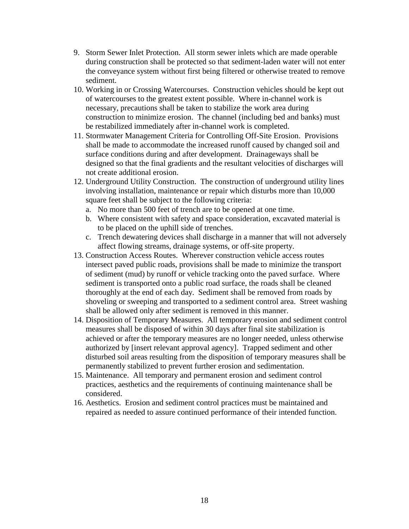- 9. Storm Sewer Inlet Protection. All storm sewer inlets which are made operable during construction shall be protected so that sediment-laden water will not enter the conveyance system without first being filtered or otherwise treated to remove sediment.
- 10. Working in or Crossing Watercourses. Construction vehicles should be kept out of watercourses to the greatest extent possible. Where in-channel work is necessary, precautions shall be taken to stabilize the work area during construction to minimize erosion. The channel (including bed and banks) must be restabilized immediately after in-channel work is completed.
- 11. Stormwater Management Criteria for Controlling Off-Site Erosion. Provisions shall be made to accommodate the increased runoff caused by changed soil and surface conditions during and after development. Drainageways shall be designed so that the final gradients and the resultant velocities of discharges will not create additional erosion.
- 12. Underground Utility Construction. The construction of underground utility lines involving installation, maintenance or repair which disturbs more than 10,000 square feet shall be subject to the following criteria:
	- a. No more than 500 feet of trench are to be opened at one time.
	- b. Where consistent with safety and space consideration, excavated material is to be placed on the uphill side of trenches.
	- c. Trench dewatering devices shall discharge in a manner that will not adversely affect flowing streams, drainage systems, or off-site property.
- 13. Construction Access Routes. Wherever construction vehicle access routes intersect paved public roads, provisions shall be made to minimize the transport of sediment (mud) by runoff or vehicle tracking onto the paved surface. Where sediment is transported onto a public road surface, the roads shall be cleaned thoroughly at the end of each day. Sediment shall be removed from roads by shoveling or sweeping and transported to a sediment control area. Street washing shall be allowed only after sediment is removed in this manner.
- 14. Disposition of Temporary Measures. All temporary erosion and sediment control measures shall be disposed of within 30 days after final site stabilization is achieved or after the temporary measures are no longer needed, unless otherwise authorized by [insert relevant approval agency]. Trapped sediment and other disturbed soil areas resulting from the disposition of temporary measures shall be permanently stabilized to prevent further erosion and sedimentation.
- 15. Maintenance. All temporary and permanent erosion and sediment control practices, aesthetics and the requirements of continuing maintenance shall be considered.
- 16. Aesthetics. Erosion and sediment control practices must be maintained and repaired as needed to assure continued performance of their intended function.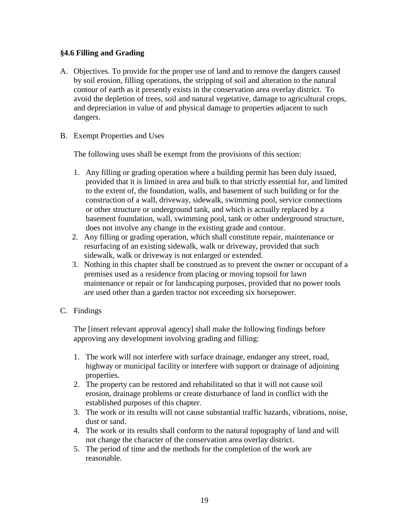#### **§4.6 Filling and Grading**

- A. Objectives. To provide for the proper use of land and to remove the dangers caused by soil erosion, filling operations, the stripping of soil and alteration to the natural contour of earth as it presently exists in the conservation area overlay district. To avoid the depletion of trees, soil and natural vegetative, damage to agricultural crops, and depreciation in value of and physical damage to properties adjacent to such dangers.
- B. Exempt Properties and Uses

The following uses shall be exempt from the provisions of this section:

- 1. Any filling or grading operation where a building permit has been duly issued, provided that it is limited in area and bulk to that strictly essential for, and limited to the extent of, the foundation, walls, and basement of such building or for the construction of a wall, driveway, sidewalk, swimming pool, service connections or other structure or underground tank, and which is actually replaced by a basement foundation, wall, swimming pool, tank or other underground structure, does not involve any change in the existing grade and contour.
- 2. Any filling or grading operation, which shall constitute repair, maintenance or resurfacing of an existing sidewalk, walk or driveway, provided that such sidewalk, walk or driveway is not enlarged or extended.
- 3. Nothing in this chapter shall be construed as to prevent the owner or occupant of a premises used as a residence from placing or moving topsoil for lawn maintenance or repair or for landscaping purposes, provided that no power tools are used other than a garden tractor not exceeding six horsepower.
- C. Findings

The [insert relevant approval agency] shall make the following findings before approving any development involving grading and filling:

- 1. The work will not interfere with surface drainage, endanger any street, road, highway or municipal facility or interfere with support or drainage of adjoining properties.
- 2. The property can be restored and rehabilitated so that it will not cause soil erosion, drainage problems or create disturbance of land in conflict with the established purposes of this chapter.
- 3. The work or its results will not cause substantial traffic hazards, vibrations, noise, dust or sand.
- 4. The work or its results shall conform to the natural topography of land and will not change the character of the conservation area overlay district.
- 5. The period of time and the methods for the completion of the work are reasonable.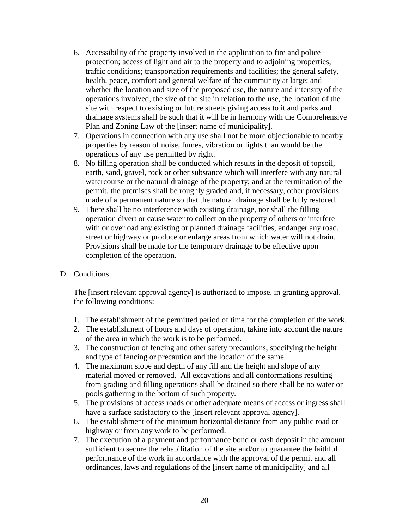- 6. Accessibility of the property involved in the application to fire and police protection; access of light and air to the property and to adjoining properties; traffic conditions; transportation requirements and facilities; the general safety, health, peace, comfort and general welfare of the community at large; and whether the location and size of the proposed use, the nature and intensity of the operations involved, the size of the site in relation to the use, the location of the site with respect to existing or future streets giving access to it and parks and drainage systems shall be such that it will be in harmony with the Comprehensive Plan and Zoning Law of the [insert name of municipality].
- 7. Operations in connection with any use shall not be more objectionable to nearby properties by reason of noise, fumes, vibration or lights than would be the operations of any use permitted by right.
- 8. No filling operation shall be conducted which results in the deposit of topsoil, earth, sand, gravel, rock or other substance which will interfere with any natural watercourse or the natural drainage of the property; and at the termination of the permit, the premises shall be roughly graded and, if necessary, other provisions made of a permanent nature so that the natural drainage shall be fully restored.
- 9. There shall be no interference with existing drainage, nor shall the filling operation divert or cause water to collect on the property of others or interfere with or overload any existing or planned drainage facilities, endanger any road, street or highway or produce or enlarge areas from which water will not drain. Provisions shall be made for the temporary drainage to be effective upon completion of the operation.
- D. Conditions

The [insert relevant approval agency] is authorized to impose, in granting approval, the following conditions:

- 1. The establishment of the permitted period of time for the completion of the work.
- 2. The establishment of hours and days of operation, taking into account the nature of the area in which the work is to be performed.
- 3. The construction of fencing and other safety precautions, specifying the height and type of fencing or precaution and the location of the same.
- 4. The maximum slope and depth of any fill and the height and slope of any material moved or removed. All excavations and all conformations resulting from grading and filling operations shall be drained so there shall be no water or pools gathering in the bottom of such property.
- 5. The provisions of access roads or other adequate means of access or ingress shall have a surface satisfactory to the [insert relevant approval agency].
- 6. The establishment of the minimum horizontal distance from any public road or highway or from any work to be performed.
- 7. The execution of a payment and performance bond or cash deposit in the amount sufficient to secure the rehabilitation of the site and/or to guarantee the faithful performance of the work in accordance with the approval of the permit and all ordinances, laws and regulations of the [insert name of municipality] and all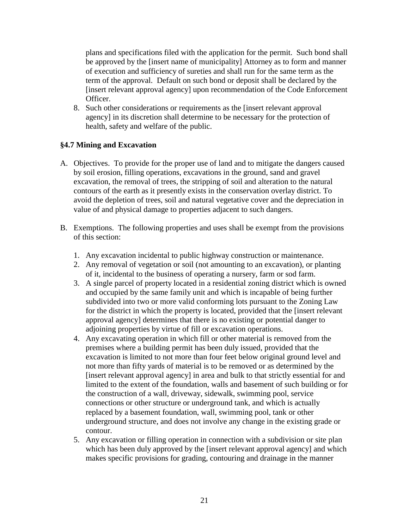plans and specifications filed with the application for the permit. Such bond shall be approved by the [insert name of municipality] Attorney as to form and manner of execution and sufficiency of sureties and shall run for the same term as the term of the approval. Default on such bond or deposit shall be declared by the [insert relevant approval agency] upon recommendation of the Code Enforcement Officer.

8. Such other considerations or requirements as the [insert relevant approval agency] in its discretion shall determine to be necessary for the protection of health, safety and welfare of the public.

#### **§4.7 Mining and Excavation**

- A. Objectives. To provide for the proper use of land and to mitigate the dangers caused by soil erosion, filling operations, excavations in the ground, sand and gravel excavation, the removal of trees, the stripping of soil and alteration to the natural contours of the earth as it presently exists in the conservation overlay district. To avoid the depletion of trees, soil and natural vegetative cover and the depreciation in value of and physical damage to properties adjacent to such dangers.
- B. Exemptions. The following properties and uses shall be exempt from the provisions of this section:
	- 1. Any excavation incidental to public highway construction or maintenance.
	- 2. Any removal of vegetation or soil (not amounting to an excavation), or planting of it, incidental to the business of operating a nursery, farm or sod farm.
	- 3. A single parcel of property located in a residential zoning district which is owned and occupied by the same family unit and which is incapable of being further subdivided into two or more valid conforming lots pursuant to the Zoning Law for the district in which the property is located, provided that the [insert relevant approval agency] determines that there is no existing or potential danger to adjoining properties by virtue of fill or excavation operations.
	- 4. Any excavating operation in which fill or other material is removed from the premises where a building permit has been duly issued, provided that the excavation is limited to not more than four feet below original ground level and not more than fifty yards of material is to be removed or as determined by the [insert relevant approval agency] in area and bulk to that strictly essential for and limited to the extent of the foundation, walls and basement of such building or for the construction of a wall, driveway, sidewalk, swimming pool, service connections or other structure or underground tank, and which is actually replaced by a basement foundation, wall, swimming pool, tank or other underground structure, and does not involve any change in the existing grade or contour.
	- 5. Any excavation or filling operation in connection with a subdivision or site plan which has been duly approved by the [insert relevant approval agency] and which makes specific provisions for grading, contouring and drainage in the manner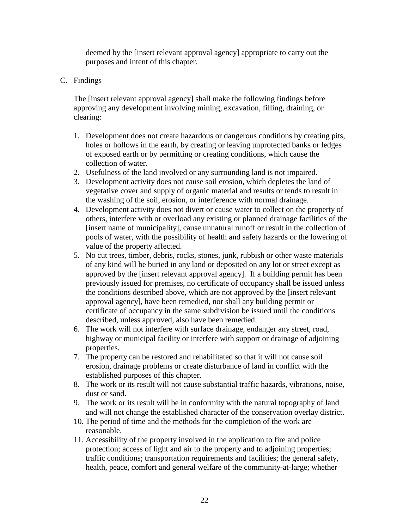deemed by the [insert relevant approval agency] appropriate to carry out the purposes and intent of this chapter.

C. Findings

The [insert relevant approval agency] shall make the following findings before approving any development involving mining, excavation, filling, draining, or clearing:

- 1. Development does not create hazardous or dangerous conditions by creating pits, holes or hollows in the earth, by creating or leaving unprotected banks or ledges of exposed earth or by permitting or creating conditions, which cause the collection of water.
- 2. Usefulness of the land involved or any surrounding land is not impaired.
- 3. Development activity does not cause soil erosion, which depletes the land of vegetative cover and supply of organic material and results or tends to result in the washing of the soil, erosion, or interference with normal drainage.
- 4. Development activity does not divert or cause water to collect on the property of others, interfere with or overload any existing or planned drainage facilities of the [insert name of municipality], cause unnatural runoff or result in the collection of pools of water, with the possibility of health and safety hazards or the lowering of value of the property affected.
- 5. No cut trees, timber, debris, rocks, stones, junk, rubbish or other waste materials of any kind will be buried in any land or deposited on any lot or street except as approved by the [insert relevant approval agency]. If a building permit has been previously issued for premises, no certificate of occupancy shall be issued unless the conditions described above, which are not approved by the [insert relevant approval agency], have been remedied, nor shall any building permit or certificate of occupancy in the same subdivision be issued until the conditions described, unless approved, also have been remedied.
- 6. The work will not interfere with surface drainage, endanger any street, road, highway or municipal facility or interfere with support or drainage of adjoining properties.
- 7. The property can be restored and rehabilitated so that it will not cause soil erosion, drainage problems or create disturbance of land in conflict with the established purposes of this chapter.
- 8. The work or its result will not cause substantial traffic hazards, vibrations, noise, dust or sand.
- 9. The work or its result will be in conformity with the natural topography of land and will not change the established character of the conservation overlay district.
- 10. The period of time and the methods for the completion of the work are reasonable.
- 11. Accessibility of the property involved in the application to fire and police protection; access of light and air to the property and to adjoining properties; traffic conditions; transportation requirements and facilities; the general safety, health, peace, comfort and general welfare of the community-at-large; whether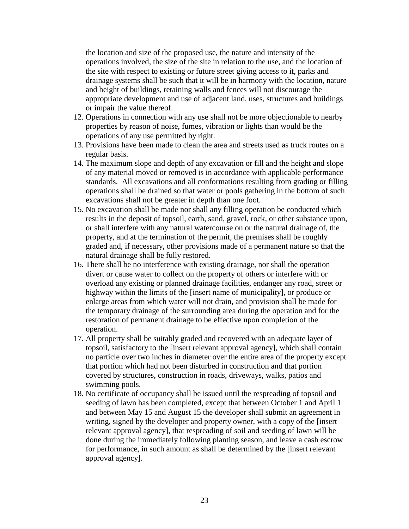the location and size of the proposed use, the nature and intensity of the operations involved, the size of the site in relation to the use, and the location of the site with respect to existing or future street giving access to it, parks and drainage systems shall be such that it will be in harmony with the location, nature and height of buildings, retaining walls and fences will not discourage the appropriate development and use of adjacent land, uses, structures and buildings or impair the value thereof.

- 12. Operations in connection with any use shall not be more objectionable to nearby properties by reason of noise, fumes, vibration or lights than would be the operations of any use permitted by right.
- 13. Provisions have been made to clean the area and streets used as truck routes on a regular basis.
- 14. The maximum slope and depth of any excavation or fill and the height and slope of any material moved or removed is in accordance with applicable performance standards. All excavations and all conformations resulting from grading or filling operations shall be drained so that water or pools gathering in the bottom of such excavations shall not be greater in depth than one foot.
- 15. No excavation shall be made nor shall any filling operation be conducted which results in the deposit of topsoil, earth, sand, gravel, rock, or other substance upon, or shall interfere with any natural watercourse on or the natural drainage of, the property, and at the termination of the permit, the premises shall be roughly graded and, if necessary, other provisions made of a permanent nature so that the natural drainage shall be fully restored.
- 16. There shall be no interference with existing drainage, nor shall the operation divert or cause water to collect on the property of others or interfere with or overload any existing or planned drainage facilities, endanger any road, street or highway within the limits of the [insert name of municipality], or produce or enlarge areas from which water will not drain, and provision shall be made for the temporary drainage of the surrounding area during the operation and for the restoration of permanent drainage to be effective upon completion of the operation.
- 17. All property shall be suitably graded and recovered with an adequate layer of topsoil, satisfactory to the [insert relevant approval agency], which shall contain no particle over two inches in diameter over the entire area of the property except that portion which had not been disturbed in construction and that portion covered by structures, construction in roads, driveways, walks, patios and swimming pools.
- 18. No certificate of occupancy shall be issued until the respreading of topsoil and seeding of lawn has been completed, except that between October 1 and April 1 and between May 15 and August 15 the developer shall submit an agreement in writing, signed by the developer and property owner, with a copy of the [insert relevant approval agency], that respreading of soil and seeding of lawn will be done during the immediately following planting season, and leave a cash escrow for performance, in such amount as shall be determined by the [insert relevant approval agency].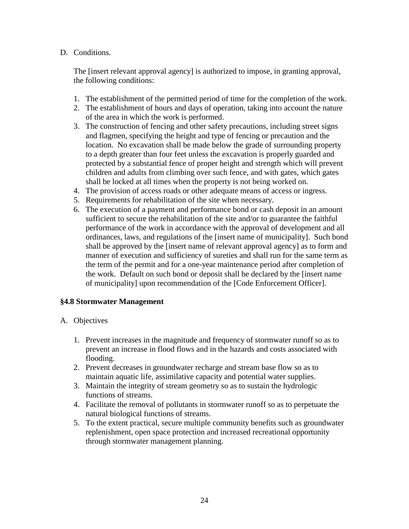#### D. Conditions.

The [insert relevant approval agency] is authorized to impose, in granting approval, the following conditions:

- 1. The establishment of the permitted period of time for the completion of the work.
- 2. The establishment of hours and days of operation, taking into account the nature of the area in which the work is performed.
- 3. The construction of fencing and other safety precautions, including street signs and flagmen, specifying the height and type of fencing or precaution and the location. No excavation shall be made below the grade of surrounding property to a depth greater than four feet unless the excavation is properly guarded and protected by a substantial fence of proper height and strength which will prevent children and adults from climbing over such fence, and with gates, which gates shall be locked at all times when the property is not being worked on.
- 4. The provision of access roads or other adequate means of access or ingress.
- 5. Requirements for rehabilitation of the site when necessary.
- 6. The execution of a payment and performance bond or cash deposit in an amount sufficient to secure the rehabilitation of the site and/or to guarantee the faithful performance of the work in accordance with the approval of development and all ordinances, laws, and regulations of the [insert name of municipality]. Such bond shall be approved by the [insert name of relevant approval agency] as to form and manner of execution and sufficiency of sureties and shall run for the same term as the term of the permit and for a one-year maintenance period after completion of the work. Default on such bond or deposit shall be declared by the [insert name of municipality] upon recommendation of the [Code Enforcement Officer].

#### **§4.8 Stormwater Management**

#### A. Objectives

- 1. Prevent increases in the magnitude and frequency of stormwater runoff so as to prevent an increase in flood flows and in the hazards and costs associated with flooding.
- 2. Prevent decreases in groundwater recharge and stream base flow so as to maintain aquatic life, assimilative capacity and potential water supplies.
- 3. Maintain the integrity of stream geometry so as to sustain the hydrologic functions of streams.
- 4. Facilitate the removal of pollutants in stormwater runoff so as to perpetuate the natural biological functions of streams.
- 5. To the extent practical, secure multiple community benefits such as groundwater replenishment, open space protection and increased recreational opportunity through stormwater management planning.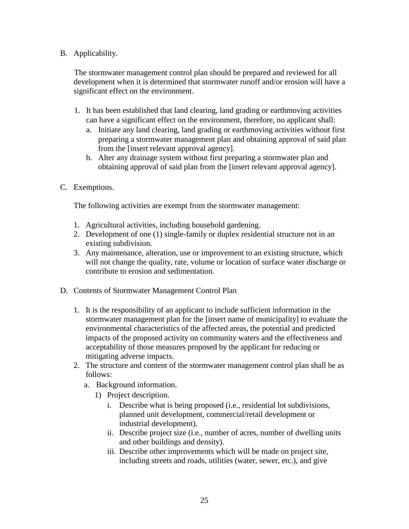#### B. Applicability.

The stormwater management control plan should be prepared and reviewed for all development when it is determined that stormwater runoff and/or erosion will have a significant effect on the environment.

- 1. It has been established that land clearing, land grading or earthmoving activities can have a significant effect on the environment, therefore, no applicant shall:
	- a. Initiate any land clearing, land grading or earthmoving activities without first preparing a stormwater management plan and obtaining approval of said plan from the [insert relevant approval agency].
	- b. Alter any drainage system without first preparing a stormwater plan and obtaining approval of said plan from the [insert relevant approval agency].
- C. Exemptions.

The following activities are exempt from the stormwater management:

- 1. Agricultural activities, including household gardening.
- 2. Development of one (1) single-family or duplex residential structure not in an existing subdivision.
- 3. Any maintenance, alteration, use or improvement to an existing structure, which will not change the quality, rate, volume or location of surface water discharge or contribute to erosion and sedimentation.
- D. Contents of Stormwater Management Control Plan
	- 1. It is the responsibility of an applicant to include sufficient information in the stormwater management plan for the [insert name of municipality] to evaluate the environmental characteristics of the affected areas, the potential and predicted impacts of the proposed activity on community waters and the effectiveness and acceptability of those measures proposed by the applicant for reducing or mitigating adverse impacts.
	- 2. The structure and content of the stormwater management control plan shall be as follows:
		- a. Background information.
			- 1) Project description.
				- i. Describe what is being proposed (i.e., residential lot subdivisions, planned unit development, commercial/retail development or industrial development).
				- ii. Describe project size (i.e., number of acres, number of dwelling units and other buildings and density).
				- iii. Describe other improvements which will be made on project site, including streets and roads, utilities (water, sewer, etc.), and give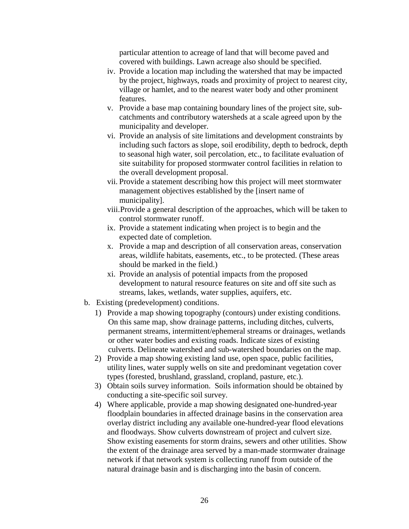particular attention to acreage of land that will become paved and covered with buildings. Lawn acreage also should be specified.

- iv. Provide a location map including the watershed that may be impacted by the project, highways, roads and proximity of project to nearest city, village or hamlet, and to the nearest water body and other prominent features.
- v. Provide a base map containing boundary lines of the project site, subcatchments and contributory watersheds at a scale agreed upon by the municipality and developer.
- vi. Provide an analysis of site limitations and development constraints by including such factors as slope, soil erodibility, depth to bedrock, depth to seasonal high water, soil percolation, etc., to facilitate evaluation of site suitability for proposed stormwater control facilities in relation to the overall development proposal.
- vii. Provide a statement describing how this project will meet stormwater management objectives established by the [insert name of municipality].
- viii. Provide a general description of the approaches, which will be taken to control stormwater runoff.
- ix. Provide a statement indicating when project is to begin and the expected date of completion.
- x. Provide a map and description of all conservation areas, conservation areas, wildlife habitats, easements, etc., to be protected. (These areas should be marked in the field.)
- xi. Provide an analysis of potential impacts from the proposed development to natural resource features on site and off site such as streams, lakes, wetlands, water supplies, aquifers, etc.
- b. Existing (predevelopment) conditions.
	- 1) Provide a map showing topography (contours) under existing conditions. On this same map, show drainage patterns, including ditches, culverts, permanent streams, intermittent/ephemeral streams or drainages, wetlands or other water bodies and existing roads. Indicate sizes of existing culverts. Delineate watershed and sub-watershed boundaries on the map.
	- 2) Provide a map showing existing land use, open space, public facilities, utility lines, water supply wells on site and predominant vegetation cover types (forested, brushland, grassland, cropland, pasture, etc.).
	- 3) Obtain soils survey information. Soils information should be obtained by conducting a site-specific soil survey.
	- 4) Where applicable, provide a map showing designated one-hundred-year floodplain boundaries in affected drainage basins in the conservation area overlay district including any available one-hundred-year flood elevations and floodways. Show culverts downstream of project and culvert size. Show existing easements for storm drains, sewers and other utilities. Show the extent of the drainage area served by a man-made stormwater drainage network if that network system is collecting runoff from outside of the natural drainage basin and is discharging into the basin of concern.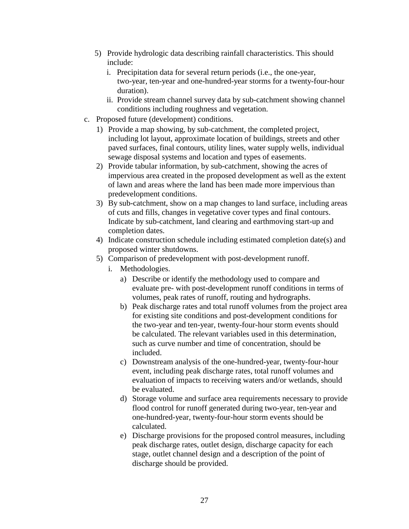- 5) Provide hydrologic data describing rainfall characteristics. This should include:
	- i. Precipitation data for several return periods (i.e., the one-year, two-year, ten-year and one-hundred-year storms for a twenty-four-hour duration).
	- ii. Provide stream channel survey data by sub-catchment showing channel conditions including roughness and vegetation.
- c. Proposed future (development) conditions.
	- 1) Provide a map showing, by sub-catchment, the completed project, including lot layout, approximate location of buildings, streets and other paved surfaces, final contours, utility lines, water supply wells, individual sewage disposal systems and location and types of easements.
	- 2) Provide tabular information, by sub-catchment, showing the acres of impervious area created in the proposed development as well as the extent of lawn and areas where the land has been made more impervious than predevelopment conditions.
	- 3) By sub-catchment, show on a map changes to land surface, including areas of cuts and fills, changes in vegetative cover types and final contours. Indicate by sub-catchment, land clearing and earthmoving start-up and completion dates.
	- 4) Indicate construction schedule including estimated completion date(s) and proposed winter shutdowns.
	- 5) Comparison of predevelopment with post-development runoff.
		- i. Methodologies.
			- a) Describe or identify the methodology used to compare and evaluate pre- with post-development runoff conditions in terms of volumes, peak rates of runoff, routing and hydrographs.
			- b) Peak discharge rates and total runoff volumes from the project area for existing site conditions and post-development conditions for the two-year and ten-year, twenty-four-hour storm events should be calculated. The relevant variables used in this determination, such as curve number and time of concentration, should be included.
			- c) Downstream analysis of the one-hundred-year, twenty-four-hour event, including peak discharge rates, total runoff volumes and evaluation of impacts to receiving waters and/or wetlands, should be evaluated.
			- d) Storage volume and surface area requirements necessary to provide flood control for runoff generated during two-year, ten-year and one-hundred-year, twenty-four-hour storm events should be calculated.
			- e) Discharge provisions for the proposed control measures, including peak discharge rates, outlet design, discharge capacity for each stage, outlet channel design and a description of the point of discharge should be provided.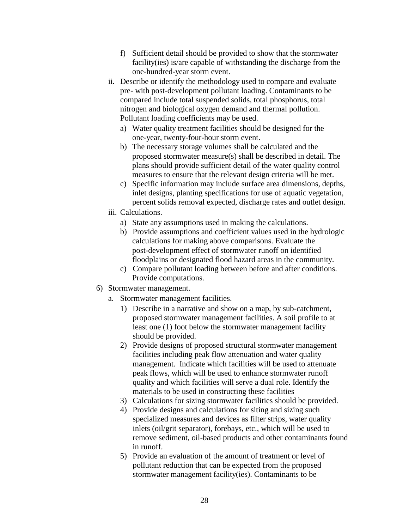- f) Sufficient detail should be provided to show that the stormwater facility(ies) is/are capable of withstanding the discharge from the one-hundred-year storm event.
- ii. Describe or identify the methodology used to compare and evaluate pre- with post-development pollutant loading. Contaminants to be compared include total suspended solids, total phosphorus, total nitrogen and biological oxygen demand and thermal pollution. Pollutant loading coefficients may be used.
	- a) Water quality treatment facilities should be designed for the one-year, twenty-four-hour storm event.
	- b) The necessary storage volumes shall be calculated and the proposed stormwater measure(s) shall be described in detail. The plans should provide sufficient detail of the water quality control measures to ensure that the relevant design criteria will be met.
	- c) Specific information may include surface area dimensions, depths, inlet designs, planting specifications for use of aquatic vegetation, percent solids removal expected, discharge rates and outlet design.
- iii. Calculations.
	- a) State any assumptions used in making the calculations.
	- b) Provide assumptions and coefficient values used in the hydrologic calculations for making above comparisons. Evaluate the post-development effect of stormwater runoff on identified floodplains or designated flood hazard areas in the community.
	- c) Compare pollutant loading between before and after conditions. Provide computations.
- 6) Stormwater management.
	- a. Stormwater management facilities.
		- 1) Describe in a narrative and show on a map, by sub-catchment, proposed stormwater management facilities. A soil profile to at least one (1) foot below the stormwater management facility should be provided.
		- 2) Provide designs of proposed structural stormwater management facilities including peak flow attenuation and water quality management. Indicate which facilities will be used to attenuate peak flows, which will be used to enhance stormwater runoff quality and which facilities will serve a dual role. Identify the materials to be used in constructing these facilities
		- 3) Calculations for sizing stormwater facilities should be provided.
		- 4) Provide designs and calculations for siting and sizing such specialized measures and devices as filter strips, water quality inlets (oil/grit separator), forebays, etc., which will be used to remove sediment, oil-based products and other contaminants found in runoff.
		- 5) Provide an evaluation of the amount of treatment or level of pollutant reduction that can be expected from the proposed stormwater management facility(ies). Contaminants to be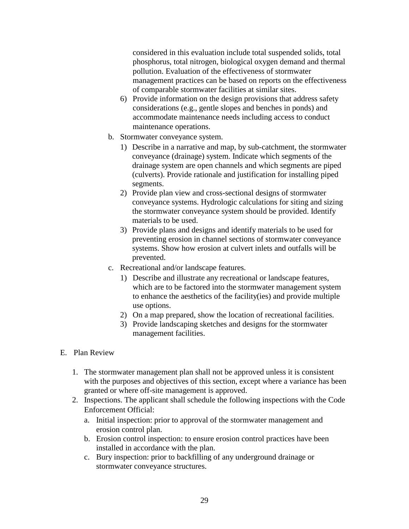considered in this evaluation include total suspended solids, total phosphorus, total nitrogen, biological oxygen demand and thermal pollution. Evaluation of the effectiveness of stormwater management practices can be based on reports on the effectiveness of comparable stormwater facilities at similar sites.

- 6) Provide information on the design provisions that address safety considerations (e.g., gentle slopes and benches in ponds) and accommodate maintenance needs including access to conduct maintenance operations.
- b. Stormwater conveyance system.
	- 1) Describe in a narrative and map, by sub-catchment, the stormwater conveyance (drainage) system. Indicate which segments of the drainage system are open channels and which segments are piped (culverts). Provide rationale and justification for installing piped segments.
	- 2) Provide plan view and cross-sectional designs of stormwater conveyance systems. Hydrologic calculations for siting and sizing the stormwater conveyance system should be provided. Identify materials to be used.
	- 3) Provide plans and designs and identify materials to be used for preventing erosion in channel sections of stormwater conveyance systems. Show how erosion at culvert inlets and outfalls will be prevented.
- c. Recreational and/or landscape features.
	- 1) Describe and illustrate any recreational or landscape features, which are to be factored into the stormwater management system to enhance the aesthetics of the facility(ies) and provide multiple use options.
	- 2) On a map prepared, show the location of recreational facilities.
	- 3) Provide landscaping sketches and designs for the stormwater management facilities.

#### E. Plan Review

- 1. The stormwater management plan shall not be approved unless it is consistent with the purposes and objectives of this section, except where a variance has been granted or where off-site management is approved.
- 2. Inspections. The applicant shall schedule the following inspections with the Code Enforcement Official:
	- a. Initial inspection: prior to approval of the stormwater management and erosion control plan.
	- b. Erosion control inspection: to ensure erosion control practices have been installed in accordance with the plan.
	- c. Bury inspection: prior to backfilling of any underground drainage or stormwater conveyance structures.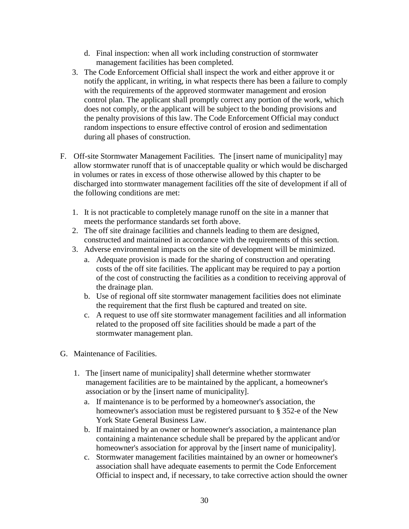- d. Final inspection: when all work including construction of stormwater management facilities has been completed.
- 3. The Code Enforcement Official shall inspect the work and either approve it or notify the applicant, in writing, in what respects there has been a failure to comply with the requirements of the approved stormwater management and erosion control plan. The applicant shall promptly correct any portion of the work, which does not comply, or the applicant will be subject to the bonding provisions and the penalty provisions of this law. The Code Enforcement Official may conduct random inspections to ensure effective control of erosion and sedimentation during all phases of construction.
- F. Off-site Stormwater Management Facilities. The [insert name of municipality] may allow stormwater runoff that is of unacceptable quality or which would be discharged in volumes or rates in excess of those otherwise allowed by this chapter to be discharged into stormwater management facilities off the site of development if all of the following conditions are met:
	- 1. It is not practicable to completely manage runoff on the site in a manner that meets the performance standards set forth above.
	- 2. The off site drainage facilities and channels leading to them are designed, constructed and maintained in accordance with the requirements of this section.
	- 3. Adverse environmental impacts on the site of development will be minimized.
		- a. Adequate provision is made for the sharing of construction and operating costs of the off site facilities. The applicant may be required to pay a portion of the cost of constructing the facilities as a condition to receiving approval of the drainage plan.
		- b. Use of regional off site stormwater management facilities does not eliminate the requirement that the first flush be captured and treated on site.
		- c. A request to use off site stormwater management facilities and all information related to the proposed off site facilities should be made a part of the stormwater management plan.
- G. Maintenance of Facilities.
	- 1. The [insert name of municipality] shall determine whether stormwater management facilities are to be maintained by the applicant, a homeowner's association or by the [insert name of municipality].
		- a. If maintenance is to be performed by a homeowner's association, the homeowner's association must be registered pursuant to § 352-e of the New York State General Business Law.
		- b. If maintained by an owner or homeowner's association, a maintenance plan containing a maintenance schedule shall be prepared by the applicant and/or homeowner's association for approval by the [insert name of municipality].
		- c. Stormwater management facilities maintained by an owner or homeowner's association shall have adequate easements to permit the Code Enforcement Official to inspect and, if necessary, to take corrective action should the owner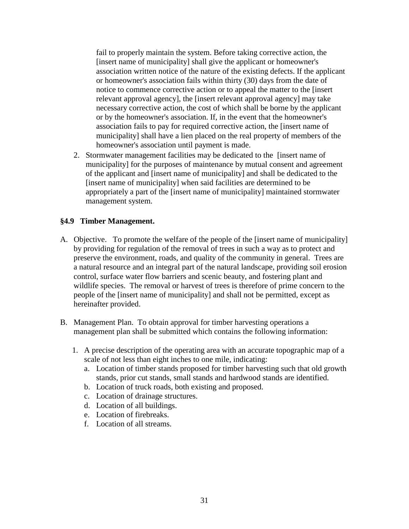fail to properly maintain the system. Before taking corrective action, the [insert name of municipality] shall give the applicant or homeowner's association written notice of the nature of the existing defects. If the applicant or homeowner's association fails within thirty (30) days from the date of notice to commence corrective action or to appeal the matter to the [insert relevant approval agency], the [insert relevant approval agency] may take necessary corrective action, the cost of which shall be borne by the applicant or by the homeowner's association. If, in the event that the homeowner's association fails to pay for required corrective action, the [insert name of municipality] shall have a lien placed on the real property of members of the homeowner's association until payment is made.

2. Stormwater management facilities may be dedicated to the [insert name of municipality] for the purposes of maintenance by mutual consent and agreement of the applicant and [insert name of municipality] and shall be dedicated to the [insert name of municipality] when said facilities are determined to be appropriately a part of the [insert name of municipality] maintained stormwater management system.

#### **§4.9 Timber Management.**

- A. Objective. To promote the welfare of the people of the [insert name of municipality] by providing for regulation of the removal of trees in such a way as to protect and preserve the environment, roads, and quality of the community in general. Trees are a natural resource and an integral part of the natural landscape, providing soil erosion control, surface water flow barriers and scenic beauty, and fostering plant and wildlife species. The removal or harvest of trees is therefore of prime concern to the people of the [insert name of municipality] and shall not be permitted, except as hereinafter provided.
- B. Management Plan. To obtain approval for timber harvesting operations a management plan shall be submitted which contains the following information:
	- 1. A precise description of the operating area with an accurate topographic map of a scale of not less than eight inches to one mile, indicating:
		- a. Location of timber stands proposed for timber harvesting such that old growth stands, prior cut stands, small stands and hardwood stands are identified.
		- b. Location of truck roads, both existing and proposed.
		- c. Location of drainage structures.
		- d. Location of all buildings.
		- e. Location of firebreaks.
		- f. Location of all streams.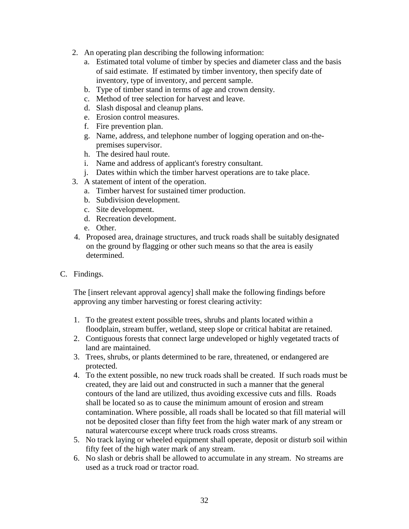- 2. An operating plan describing the following information:
	- a. Estimated total volume of timber by species and diameter class and the basis of said estimate. If estimated by timber inventory, then specify date of inventory, type of inventory, and percent sample.
	- b. Type of timber stand in terms of age and crown density.
	- c. Method of tree selection for harvest and leave.
	- d. Slash disposal and cleanup plans.
	- e. Erosion control measures.
	- f. Fire prevention plan.
	- g. Name, address, and telephone number of logging operation and on-thepremises supervisor.
	- h. The desired haul route.
	- i. Name and address of applicant's forestry consultant.
	- j. Dates within which the timber harvest operations are to take place.
- 3. A statement of intent of the operation.
	- a. Timber harvest for sustained timer production.
	- b. Subdivision development.
	- c. Site development.
	- d. Recreation development.
	- e. Other.
- 4. Proposed area, drainage structures, and truck roads shall be suitably designated on the ground by flagging or other such means so that the area is easily determined.
- C. Findings.

The [insert relevant approval agency] shall make the following findings before approving any timber harvesting or forest clearing activity:

- 1. To the greatest extent possible trees, shrubs and plants located within a floodplain, stream buffer, wetland, steep slope or critical habitat are retained.
- 2. Contiguous forests that connect large undeveloped or highly vegetated tracts of land are maintained.
- 3. Trees, shrubs, or plants determined to be rare, threatened, or endangered are protected.
- 4. To the extent possible, no new truck roads shall be created. If such roads must be created, they are laid out and constructed in such a manner that the general contours of the land are utilized, thus avoiding excessive cuts and fills. Roads shall be located so as to cause the minimum amount of erosion and stream contamination. Where possible, all roads shall be located so that fill material will not be deposited closer than fifty feet from the high water mark of any stream or natural watercourse except where truck roads cross streams.
- 5. No track laying or wheeled equipment shall operate, deposit or disturb soil within fifty feet of the high water mark of any stream.
- 6. No slash or debris shall be allowed to accumulate in any stream. No streams are used as a truck road or tractor road.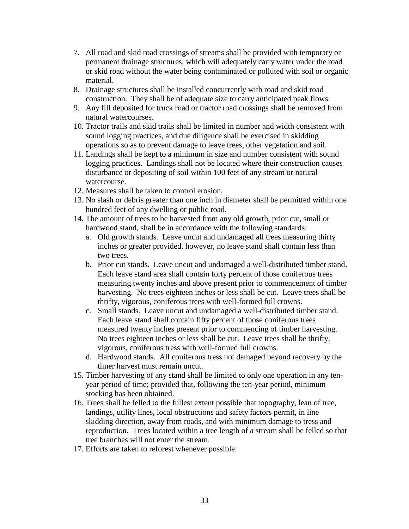- 7. All road and skid road crossings of streams shall be provided with temporary or permanent drainage structures, which will adequately carry water under the road or skid road without the water being contaminated or polluted with soil or organic material.
- 8. Drainage structures shall be installed concurrently with road and skid road construction. They shall be of adequate size to carry anticipated peak flows.
- 9. Any fill deposited for truck road or tractor road crossings shall be removed from natural watercourses.
- 10. Tractor trails and skid trails shall be limited in number and width consistent with sound logging practices, and due diligence shall be exercised in skidding operations so as to prevent damage to leave trees, other vegetation and soil.
- 11. Landings shall be kept to a minimum in size and number consistent with sound logging practices. Landings shall not be located where their construction causes disturbance or depositing of soil within 100 feet of any stream or natural watercourse.
- 12. Measures shall be taken to control erosion.
- 13. No slash or debris greater than one inch in diameter shall be permitted within one hundred feet of any dwelling or public road.
- 14. The amount of trees to be harvested from any old growth, prior cut, small or hardwood stand, shall be in accordance with the following standards:
	- a. Old growth stands. Leave uncut and undamaged all trees measuring thirty inches or greater provided, however, no leave stand shall contain less than two trees.
	- b. Prior cut stands. Leave uncut and undamaged a well-distributed timber stand. Each leave stand area shall contain forty percent of those coniferous trees measuring twenty inches and above present prior to commencement of timber harvesting. No trees eighteen inches or less shall be cut. Leave trees shall be thrifty, vigorous, coniferous trees with well-formed full crowns.
	- c. Small stands. Leave uncut and undamaged a well-distributed timber stand. Each leave stand shall contain fifty percent of those coniferous trees measured twenty inches present prior to commencing of timber harvesting. No trees eighteen inches or less shall be cut. Leave trees shall be thrifty, vigorous, coniferous tress with well-formed full crowns.
	- d. Hardwood stands. All coniferous tress not damaged beyond recovery by the timer harvest must remain uncut.
- 15. Timber harvesting of any stand shall be limited to only one operation in any tenyear period of time; provided that, following the ten-year period, minimum stocking has been obtained.
- 16. Trees shall be felled to the fullest extent possible that topography, lean of tree, landings, utility lines, local obstructions and safety factors permit, in line skidding direction, away from roads, and with minimum damage to tress and reproduction. Trees located within a tree length of a stream shall be felled so that tree branches will not enter the stream.
- 17. Efforts are taken to reforest whenever possible.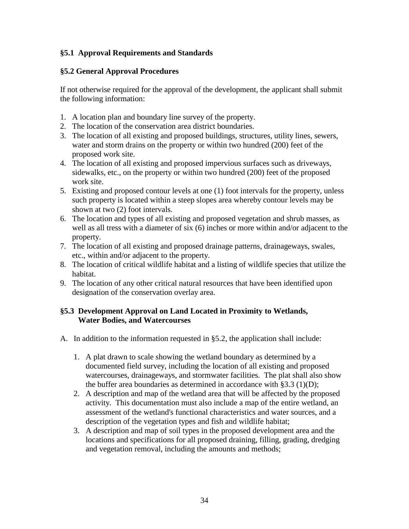#### **§5.1 Approval Requirements and Standards**

#### **§5.2 General Approval Procedures**

If not otherwise required for the approval of the development, the applicant shall submit the following information:

- 1. A location plan and boundary line survey of the property.
- 2. The location of the conservation area district boundaries.
- 3. The location of all existing and proposed buildings, structures, utility lines, sewers, water and storm drains on the property or within two hundred (200) feet of the proposed work site.
- 4. The location of all existing and proposed impervious surfaces such as driveways, sidewalks, etc., on the property or within two hundred (200) feet of the proposed work site.
- 5. Existing and proposed contour levels at one (1) foot intervals for the property, unless such property is located within a steep slopes area whereby contour levels may be shown at two (2) foot intervals.
- 6. The location and types of all existing and proposed vegetation and shrub masses, as well as all tress with a diameter of six (6) inches or more within and/or adjacent to the property.
- 7. The location of all existing and proposed drainage patterns, drainageways, swales, etc., within and/or adjacent to the property.
- 8. The location of critical wildlife habitat and a listing of wildlife species that utilize the habitat.
- 9. The location of any other critical natural resources that have been identified upon designation of the conservation overlay area.

#### **§5.3 Development Approval on Land Located in Proximity to Wetlands, Water Bodies, and Watercourses**

- A. In addition to the information requested in §5.2, the application shall include:
	- 1. A plat drawn to scale showing the wetland boundary as determined by a documented field survey, including the location of all existing and proposed watercourses, drainageways, and stormwater facilities. The plat shall also show the buffer area boundaries as determined in accordance with  $\S 3.3 \text{ (1)(D)}$ ;
	- 2. A description and map of the wetland area that will be affected by the proposed activity. This documentation must also include a map of the entire wetland, an assessment of the wetland's functional characteristics and water sources, and a description of the vegetation types and fish and wildlife habitat;
	- 3. A description and map of soil types in the proposed development area and the locations and specifications for all proposed draining, filling, grading, dredging and vegetation removal, including the amounts and methods;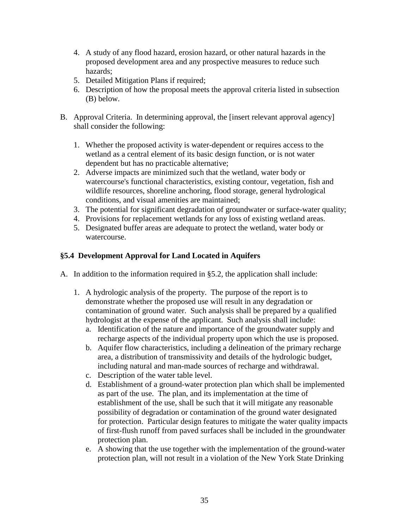- 4. A study of any flood hazard, erosion hazard, or other natural hazards in the proposed development area and any prospective measures to reduce such hazards;
- 5. Detailed Mitigation Plans if required;
- 6. Description of how the proposal meets the approval criteria listed in subsection (B) below.
- B. Approval Criteria. In determining approval, the [insert relevant approval agency] shall consider the following:
	- 1. Whether the proposed activity is water-dependent or requires access to the wetland as a central element of its basic design function, or is not water dependent but has no practicable alternative;
	- 2. Adverse impacts are minimized such that the wetland, water body or watercourse's functional characteristics, existing contour, vegetation, fish and wildlife resources, shoreline anchoring, flood storage, general hydrological conditions, and visual amenities are maintained;
	- 3. The potential for significant degradation of groundwater or surface-water quality;
	- 4. Provisions for replacement wetlands for any loss of existing wetland areas.
	- 5. Designated buffer areas are adequate to protect the wetland, water body or watercourse.

# **§5.4 Development Approval for Land Located in Aquifers**

- A. In addition to the information required in §5.2, the application shall include:
	- 1. A hydrologic analysis of the property. The purpose of the report is to demonstrate whether the proposed use will result in any degradation or contamination of ground water. Such analysis shall be prepared by a qualified hydrologist at the expense of the applicant. Such analysis shall include:
		- a. Identification of the nature and importance of the groundwater supply and recharge aspects of the individual property upon which the use is proposed.
		- b. Aquifer flow characteristics, including a delineation of the primary recharge area, a distribution of transmissivity and details of the hydrologic budget, including natural and man-made sources of recharge and withdrawal.
		- c. Description of the water table level.
		- d. Establishment of a ground-water protection plan which shall be implemented as part of the use. The plan, and its implementation at the time of establishment of the use, shall be such that it will mitigate any reasonable possibility of degradation or contamination of the ground water designated for protection. Particular design features to mitigate the water quality impacts of first-flush runoff from paved surfaces shall be included in the groundwater protection plan.
		- e. A showing that the use together with the implementation of the ground-water protection plan, will not result in a violation of the New York State Drinking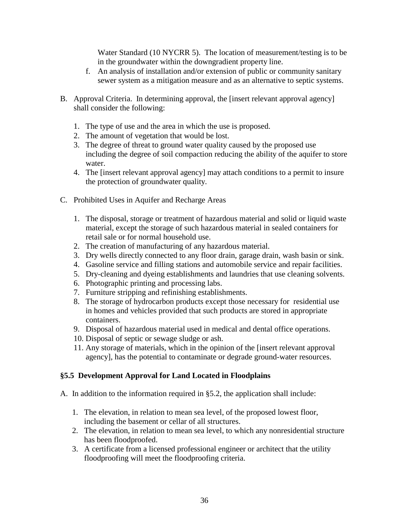Water Standard (10 NYCRR 5). The location of measurement/testing is to be in the groundwater within the downgradient property line.

- f. An analysis of installation and/or extension of public or community sanitary sewer system as a mitigation measure and as an alternative to septic systems.
- B. Approval Criteria. In determining approval, the [insert relevant approval agency] shall consider the following:
	- 1. The type of use and the area in which the use is proposed.
	- 2. The amount of vegetation that would be lost.
	- 3. The degree of threat to ground water quality caused by the proposed use including the degree of soil compaction reducing the ability of the aquifer to store water.
	- 4. The [insert relevant approval agency] may attach conditions to a permit to insure the protection of groundwater quality.
- C. Prohibited Uses in Aquifer and Recharge Areas
	- 1. The disposal, storage or treatment of hazardous material and solid or liquid waste material, except the storage of such hazardous material in sealed containers for retail sale or for normal household use.
	- 2. The creation of manufacturing of any hazardous material.
	- 3. Dry wells directly connected to any floor drain, garage drain, wash basin or sink.
	- 4. Gasoline service and filling stations and automobile service and repair facilities.
	- 5. Dry-cleaning and dyeing establishments and laundries that use cleaning solvents.
	- 6. Photographic printing and processing labs.
	- 7. Furniture stripping and refinishing establishments.
	- 8. The storage of hydrocarbon products except those necessary for residential use in homes and vehicles provided that such products are stored in appropriate containers.
	- 9. Disposal of hazardous material used in medical and dental office operations.
	- 10. Disposal of septic or sewage sludge or ash.
	- 11. Any storage of materials, which in the opinion of the [insert relevant approval agency], has the potential to contaminate or degrade ground-water resources.

#### **§5.5 Development Approval for Land Located in Floodplains**

- A. In addition to the information required in §5.2, the application shall include:
	- 1. The elevation, in relation to mean sea level, of the proposed lowest floor, including the basement or cellar of all structures.
	- 2. The elevation, in relation to mean sea level, to which any nonresidential structure has been floodproofed.
	- 3. A certificate from a licensed professional engineer or architect that the utility floodproofing will meet the floodproofing criteria.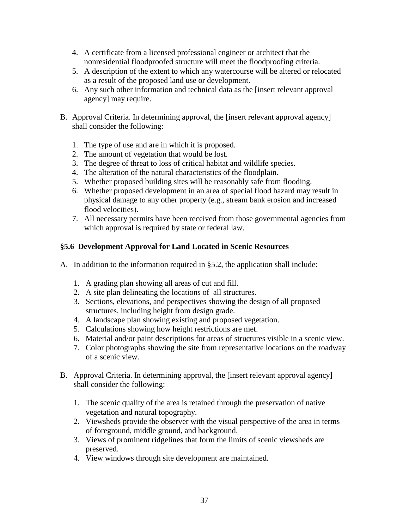- 4. A certificate from a licensed professional engineer or architect that the nonresidential floodproofed structure will meet the floodproofing criteria.
- 5. A description of the extent to which any watercourse will be altered or relocated as a result of the proposed land use or development.
- 6. Any such other information and technical data as the [insert relevant approval agency] may require.
- B. Approval Criteria. In determining approval, the [insert relevant approval agency] shall consider the following:
	- 1. The type of use and are in which it is proposed.
	- 2. The amount of vegetation that would be lost.
	- 3. The degree of threat to loss of critical habitat and wildlife species.
	- 4. The alteration of the natural characteristics of the floodplain.
	- 5. Whether proposed building sites will be reasonably safe from flooding.
	- 6. Whether proposed development in an area of special flood hazard may result in physical damage to any other property (e.g., stream bank erosion and increased flood velocities).
	- 7. All necessary permits have been received from those governmental agencies from which approval is required by state or federal law.

# **§5.6 Development Approval for Land Located in Scenic Resources**

- A. In addition to the information required in §5.2, the application shall include:
	- 1. A grading plan showing all areas of cut and fill.
	- 2. A site plan delineating the locations of all structures.
	- 3. Sections, elevations, and perspectives showing the design of all proposed structures, including height from design grade.
	- 4. A landscape plan showing existing and proposed vegetation.
	- 5. Calculations showing how height restrictions are met.
	- 6. Material and/or paint descriptions for areas of structures visible in a scenic view.
	- 7. Color photographs showing the site from representative locations on the roadway of a scenic view.
- B. Approval Criteria. In determining approval, the [insert relevant approval agency] shall consider the following:
	- 1. The scenic quality of the area is retained through the preservation of native vegetation and natural topography.
	- 2. Viewsheds provide the observer with the visual perspective of the area in terms of foreground, middle ground, and background.
	- 3. Views of prominent ridgelines that form the limits of scenic viewsheds are preserved.
	- 4. View windows through site development are maintained.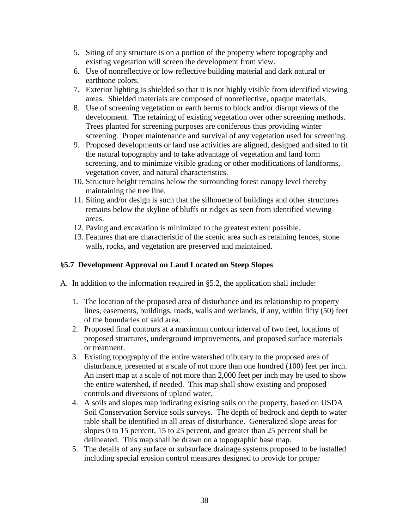- 5. Siting of any structure is on a portion of the property where topography and existing vegetation will screen the development from view.
- 6. Use of nonreflective or low reflective building material and dark natural or earthtone colors.
- 7. Exterior lighting is shielded so that it is not highly visible from identified viewing areas. Shielded materials are composed of nonreflective, opaque materials.
- 8. Use of screening vegetation or earth berms to block and/or disrupt views of the development. The retaining of existing vegetation over other screening methods. Trees planted for screening purposes are coniferous thus providing winter screening. Proper maintenance and survival of any vegetation used for screening.
- 9. Proposed developments or land use activities are aligned, designed and sited to fit the natural topography and to take advantage of vegetation and land form screening, and to minimize visible grading or other modifications of landforms, vegetation cover, and natural characteristics.
- 10. Structure height remains below the surrounding forest canopy level thereby maintaining the tree line.
- 11. Siting and/or design is such that the silhouette of buildings and other structures remains below the skyline of bluffs or ridges as seen from identified viewing areas.
- 12. Paving and excavation is minimized to the greatest extent possible.
- 13. Features that are characteristic of the scenic area such as retaining fences, stone walls, rocks, and vegetation are preserved and maintained.

### **§5.7 Development Approval on Land Located on Steep Slopes**

A. In addition to the information required in §5.2, the application shall include:

- 1. The location of the proposed area of disturbance and its relationship to property lines, easements, buildings, roads, walls and wetlands, if any, within fifty (50) feet of the boundaries of said area.
- 2. Proposed final contours at a maximum contour interval of two feet, locations of proposed structures, underground improvements, and proposed surface materials or treatment.
- 3. Existing topography of the entire watershed tributary to the proposed area of disturbance, presented at a scale of not more than one hundred (100) feet per inch. An insert map at a scale of not more than 2,000 feet per inch may be used to show the entire watershed, if needed. This map shall show existing and proposed controls and diversions of upland water.
- 4. A soils and slopes map indicating existing soils on the property, based on USDA Soil Conservation Service soils surveys. The depth of bedrock and depth to water table shall be identified in all areas of disturbance. Generalized slope areas for slopes 0 to 15 percent, 15 to 25 percent, and greater than 25 percent shall be delineated. This map shall be drawn on a topographic base map.
- 5. The details of any surface or subsurface drainage systems proposed to be installed including special erosion control measures designed to provide for proper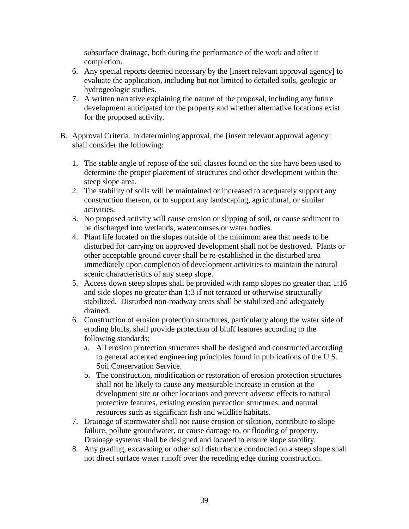subsurface drainage, both during the performance of the work and after it completion.

- 6. Any special reports deemed necessary by the [insert relevant approval agency] to evaluate the application, including but not limited to detailed soils, geologic or hydrogeologic studies.
- 7. A written narrative explaining the nature of the proposal, including any future development anticipated for the property and whether alternative locations exist for the proposed activity.
- B. Approval Criteria. In determining approval, the [insert relevant approval agency] shall consider the following:
	- 1. The stable angle of repose of the soil classes found on the site have been used to determine the proper placement of structures and other development within the steep slope area.
	- 2. The stability of soils will be maintained or increased to adequately support any construction thereon, or to support any landscaping, agricultural, or similar activities.
	- 3. No proposed activity will cause erosion or slipping of soil, or cause sediment to be discharged into wetlands, watercourses or water bodies.
	- 4. Plant life located on the slopes outside of the minimum area that needs to be disturbed for carrying on approved development shall not be destroyed. Plants or other acceptable ground cover shall be re-established in the disturbed area immediately upon completion of development activities to maintain the natural scenic characteristics of any steep slope.
	- 5. Access down steep slopes shall be provided with ramp slopes no greater than 1:16 and side slopes no greater than 1:3 if not terraced or otherwise structurally stabilized. Disturbed non-roadway areas shall be stabilized and adequately drained.
	- 6. Construction of erosion protection structures, particularly along the water side of eroding bluffs, shall provide protection of bluff features according to the following standards:
		- a. All erosion protection structures shall be designed and constructed according to general accepted engineering principles found in publications of the U.S. Soil Conservation Service.
		- b. The construction, modification or restoration of erosion protection structures shall not be likely to cause any measurable increase in erosion at the development site or other locations and prevent adverse effects to natural protective features, existing erosion protection structures, and natural resources such as significant fish and wildlife habitats.
	- 7. Drainage of stormwater shall not cause erosion or siltation, contribute to slope failure, pollute groundwater, or cause damage to, or flooding of property. Drainage systems shall be designed and located to ensure slope stability.
	- 8. Any grading, excavating or other soil disturbance conducted on a steep slope shall not direct surface water runoff over the receding edge during construction.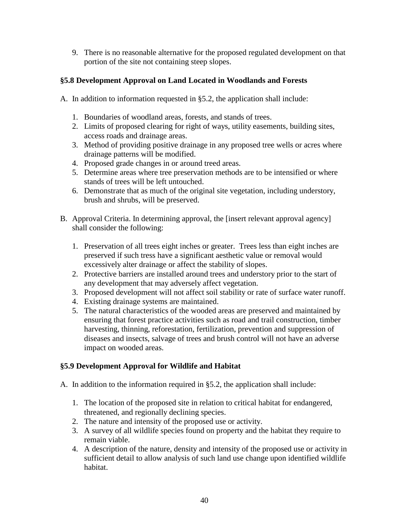9. There is no reasonable alternative for the proposed regulated development on that portion of the site not containing steep slopes.

### **§5.8 Development Approval on Land Located in Woodlands and Forests**

- A. In addition to information requested in §5.2, the application shall include:
	- 1. Boundaries of woodland areas, forests, and stands of trees.
	- 2. Limits of proposed clearing for right of ways, utility easements, building sites, access roads and drainage areas.
	- 3. Method of providing positive drainage in any proposed tree wells or acres where drainage patterns will be modified.
	- 4. Proposed grade changes in or around treed areas.
	- 5. Determine areas where tree preservation methods are to be intensified or where stands of trees will be left untouched.
	- 6. Demonstrate that as much of the original site vegetation, including understory, brush and shrubs, will be preserved.
- B. Approval Criteria. In determining approval, the [insert relevant approval agency] shall consider the following:
	- 1. Preservation of all trees eight inches or greater. Trees less than eight inches are preserved if such tress have a significant aesthetic value or removal would excessively alter drainage or affect the stability of slopes.
	- 2. Protective barriers are installed around trees and understory prior to the start of any development that may adversely affect vegetation.
	- 3. Proposed development will not affect soil stability or rate of surface water runoff.
	- 4. Existing drainage systems are maintained.
	- 5. The natural characteristics of the wooded areas are preserved and maintained by ensuring that forest practice activities such as road and trail construction, timber harvesting, thinning, reforestation, fertilization, prevention and suppression of diseases and insects, salvage of trees and brush control will not have an adverse impact on wooded areas.

# **§5.9 Development Approval for Wildlife and Habitat**

- A. In addition to the information required in §5.2, the application shall include:
	- 1. The location of the proposed site in relation to critical habitat for endangered, threatened, and regionally declining species.
	- 2. The nature and intensity of the proposed use or activity.
	- 3. A survey of all wildlife species found on property and the habitat they require to remain viable.
	- 4. A description of the nature, density and intensity of the proposed use or activity in sufficient detail to allow analysis of such land use change upon identified wildlife habitat.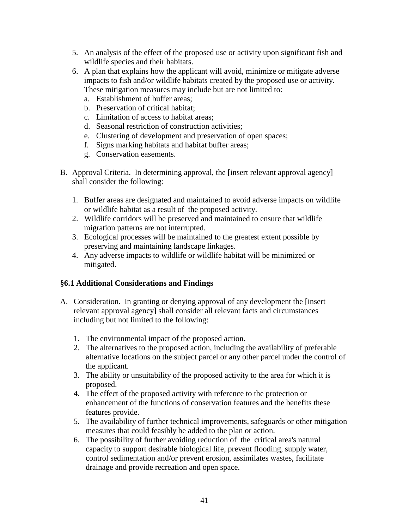- 5. An analysis of the effect of the proposed use or activity upon significant fish and wildlife species and their habitats.
- 6. A plan that explains how the applicant will avoid, minimize or mitigate adverse impacts to fish and/or wildlife habitats created by the proposed use or activity. These mitigation measures may include but are not limited to:
	- a. Establishment of buffer areas;
	- b. Preservation of critical habitat;
	- c. Limitation of access to habitat areas;
	- d. Seasonal restriction of construction activities;
	- e. Clustering of development and preservation of open spaces;
	- f. Signs marking habitats and habitat buffer areas;
	- g. Conservation easements.
- B. Approval Criteria. In determining approval, the [insert relevant approval agency] shall consider the following:
	- 1. Buffer areas are designated and maintained to avoid adverse impacts on wildlife or wildlife habitat as a result of the proposed activity.
	- 2. Wildlife corridors will be preserved and maintained to ensure that wildlife migration patterns are not interrupted.
	- 3. Ecological processes will be maintained to the greatest extent possible by preserving and maintaining landscape linkages.
	- 4. Any adverse impacts to wildlife or wildlife habitat will be minimized or mitigated.

# **§6.1 Additional Considerations and Findings**

- A. Consideration. In granting or denying approval of any development the [insert relevant approval agency] shall consider all relevant facts and circumstances including but not limited to the following:
	- 1. The environmental impact of the proposed action.
	- 2. The alternatives to the proposed action, including the availability of preferable alternative locations on the subject parcel or any other parcel under the control of the applicant.
	- 3. The ability or unsuitability of the proposed activity to the area for which it is proposed.
	- 4. The effect of the proposed activity with reference to the protection or enhancement of the functions of conservation features and the benefits these features provide.
	- 5. The availability of further technical improvements, safeguards or other mitigation measures that could feasibly be added to the plan or action.
	- 6. The possibility of further avoiding reduction of the critical area's natural capacity to support desirable biological life, prevent flooding, supply water, control sedimentation and/or prevent erosion, assimilates wastes, facilitate drainage and provide recreation and open space.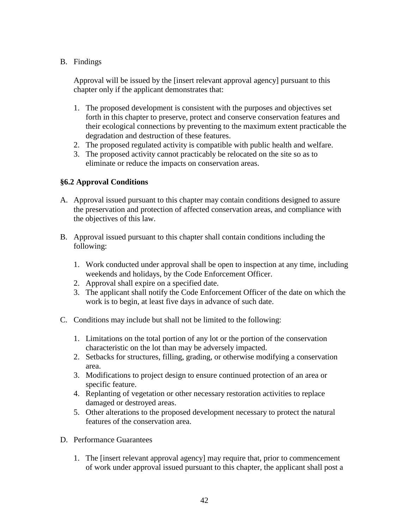#### B. Findings

Approval will be issued by the [insert relevant approval agency] pursuant to this chapter only if the applicant demonstrates that:

- 1. The proposed development is consistent with the purposes and objectives set forth in this chapter to preserve, protect and conserve conservation features and their ecological connections by preventing to the maximum extent practicable the degradation and destruction of these features.
- 2. The proposed regulated activity is compatible with public health and welfare.
- 3. The proposed activity cannot practicably be relocated on the site so as to eliminate or reduce the impacts on conservation areas.

#### **§6.2 Approval Conditions**

- A. Approval issued pursuant to this chapter may contain conditions designed to assure the preservation and protection of affected conservation areas, and compliance with the objectives of this law.
- B. Approval issued pursuant to this chapter shall contain conditions including the following:
	- 1. Work conducted under approval shall be open to inspection at any time, including weekends and holidays, by the Code Enforcement Officer.
	- 2. Approval shall expire on a specified date.
	- 3. The applicant shall notify the Code Enforcement Officer of the date on which the work is to begin, at least five days in advance of such date.
- C. Conditions may include but shall not be limited to the following:
	- 1. Limitations on the total portion of any lot or the portion of the conservation characteristic on the lot than may be adversely impacted.
	- 2. Setbacks for structures, filling, grading, or otherwise modifying a conservation area.
	- 3. Modifications to project design to ensure continued protection of an area or specific feature.
	- 4. Replanting of vegetation or other necessary restoration activities to replace damaged or destroyed areas.
	- 5. Other alterations to the proposed development necessary to protect the natural features of the conservation area.
- D. Performance Guarantees
	- 1. The [insert relevant approval agency] may require that, prior to commencement of work under approval issued pursuant to this chapter, the applicant shall post a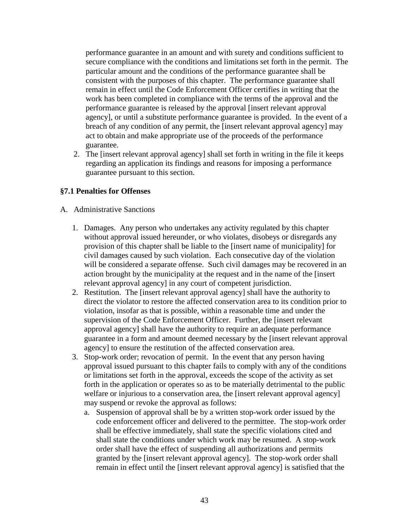performance guarantee in an amount and with surety and conditions sufficient to secure compliance with the conditions and limitations set forth in the permit. The particular amount and the conditions of the performance guarantee shall be consistent with the purposes of this chapter. The performance guarantee shall remain in effect until the Code Enforcement Officer certifies in writing that the work has been completed in compliance with the terms of the approval and the performance guarantee is released by the approval [insert relevant approval agency], or until a substitute performance guarantee is provided. In the event of a breach of any condition of any permit, the [insert relevant approval agency] may act to obtain and make appropriate use of the proceeds of the performance guarantee.

2. The [insert relevant approval agency] shall set forth in writing in the file it keeps regarding an application its findings and reasons for imposing a performance guarantee pursuant to this section.

#### **§7.1 Penalties for Offenses**

- A. Administrative Sanctions
	- 1. Damages. Any person who undertakes any activity regulated by this chapter without approval issued hereunder, or who violates, disobeys or disregards any provision of this chapter shall be liable to the [insert name of municipality] for civil damages caused by such violation. Each consecutive day of the violation will be considered a separate offense. Such civil damages may be recovered in an action brought by the municipality at the request and in the name of the [insert relevant approval agency] in any court of competent jurisdiction.
	- 2. Restitution. The [insert relevant approval agency] shall have the authority to direct the violator to restore the affected conservation area to its condition prior to violation, insofar as that is possible, within a reasonable time and under the supervision of the Code Enforcement Officer. Further, the [insert relevant approval agency] shall have the authority to require an adequate performance guarantee in a form and amount deemed necessary by the [insert relevant approval agency] to ensure the restitution of the affected conservation area.
	- 3. Stop-work order; revocation of permit. In the event that any person having approval issued pursuant to this chapter fails to comply with any of the conditions or limitations set forth in the approval, exceeds the scope of the activity as set forth in the application or operates so as to be materially detrimental to the public welfare or injurious to a conservation area, the [insert relevant approval agency] may suspend or revoke the approval as follows:
		- a. Suspension of approval shall be by a written stop-work order issued by the code enforcement officer and delivered to the permittee. The stop-work order shall be effective immediately, shall state the specific violations cited and shall state the conditions under which work may be resumed. A stop-work order shall have the effect of suspending all authorizations and permits granted by the [insert relevant approval agency]. The stop-work order shall remain in effect until the [insert relevant approval agency] is satisfied that the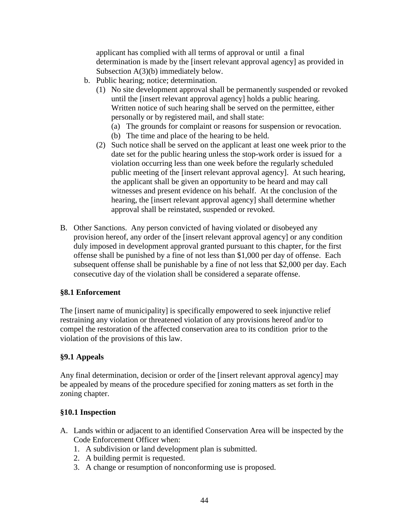applicant has complied with all terms of approval or until a final determination is made by the [insert relevant approval agency] as provided in Subsection A(3)(b) immediately below.

- b. Public hearing; notice; determination.
	- (1) No site development approval shall be permanently suspended or revoked until the [insert relevant approval agency] holds a public hearing. Written notice of such hearing shall be served on the permittee, either personally or by registered mail, and shall state:
		- (a) The grounds for complaint or reasons for suspension or revocation. (b) The time and place of the hearing to be held.
	- (2) Such notice shall be served on the applicant at least one week prior to the date set for the public hearing unless the stop-work order is issued for a violation occurring less than one week before the regularly scheduled public meeting of the [insert relevant approval agency]. At such hearing, the applicant shall be given an opportunity to be heard and may call witnesses and present evidence on his behalf. At the conclusion of the hearing, the [insert relevant approval agency] shall determine whether approval shall be reinstated, suspended or revoked.
- B. Other Sanctions. Any person convicted of having violated or disobeyed any provision hereof, any order of the [insert relevant approval agency] or any condition duly imposed in development approval granted pursuant to this chapter, for the first offense shall be punished by a fine of not less than \$1,000 per day of offense. Each subsequent offense shall be punishable by a fine of not less that \$2,000 per day. Each consecutive day of the violation shall be considered a separate offense.

#### **§8.1 Enforcement**

The [insert name of municipality] is specifically empowered to seek injunctive relief restraining any violation or threatened violation of any provisions hereof and/or to compel the restoration of the affected conservation area to its condition prior to the violation of the provisions of this law.

#### **§9.1 Appeals**

Any final determination, decision or order of the [insert relevant approval agency] may be appealed by means of the procedure specified for zoning matters as set forth in the zoning chapter.

#### **§10.1 Inspection**

- A. Lands within or adjacent to an identified Conservation Area will be inspected by the Code Enforcement Officer when:
	- 1. A subdivision or land development plan is submitted.
	- 2. A building permit is requested.
	- 3. A change or resumption of nonconforming use is proposed.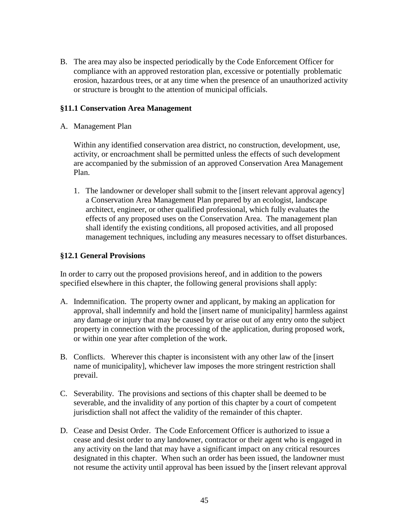B. The area may also be inspected periodically by the Code Enforcement Officer for compliance with an approved restoration plan, excessive or potentially problematic erosion, hazardous trees, or at any time when the presence of an unauthorized activity or structure is brought to the attention of municipal officials.

#### **§11.1 Conservation Area Management**

A. Management Plan

Within any identified conservation area district, no construction, development, use, activity, or encroachment shall be permitted unless the effects of such development are accompanied by the submission of an approved Conservation Area Management Plan.

1. The landowner or developer shall submit to the [insert relevant approval agency] a Conservation Area Management Plan prepared by an ecologist, landscape architect, engineer, or other qualified professional, which fully evaluates the effects of any proposed uses on the Conservation Area. The management plan shall identify the existing conditions, all proposed activities, and all proposed management techniques, including any measures necessary to offset disturbances.

#### **§12.1 General Provisions**

In order to carry out the proposed provisions hereof, and in addition to the powers specified elsewhere in this chapter, the following general provisions shall apply:

- A. Indemnification. The property owner and applicant, by making an application for approval, shall indemnify and hold the [insert name of municipality] harmless against any damage or injury that may be caused by or arise out of any entry onto the subject property in connection with the processing of the application, during proposed work, or within one year after completion of the work.
- B. Conflicts. Wherever this chapter is inconsistent with any other law of the [insert name of municipality], whichever law imposes the more stringent restriction shall prevail.
- C. Severability. The provisions and sections of this chapter shall be deemed to be severable, and the invalidity of any portion of this chapter by a court of competent jurisdiction shall not affect the validity of the remainder of this chapter.
- D. Cease and Desist Order. The Code Enforcement Officer is authorized to issue a cease and desist order to any landowner, contractor or their agent who is engaged in any activity on the land that may have a significant impact on any critical resources designated in this chapter. When such an order has been issued, the landowner must not resume the activity until approval has been issued by the [insert relevant approval